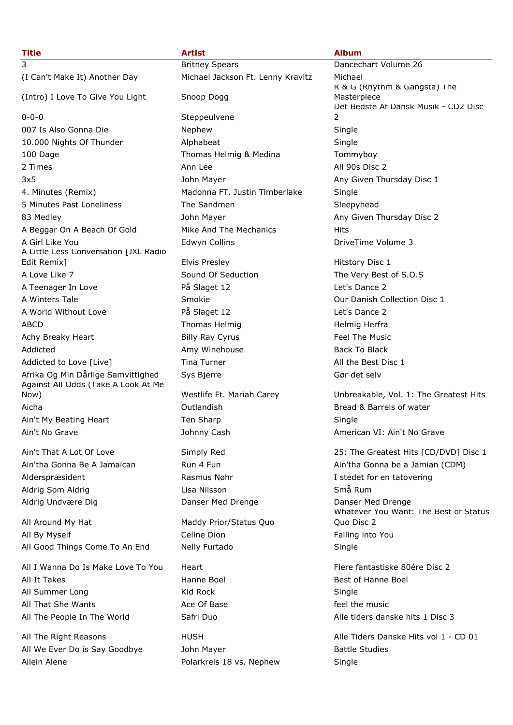## **Title Artist Album** 3 Britney Spears Dancechart Volume 26 (I Can't Make It) Another Day Michael Jackson Ft. Lenny Kravitz Michael (Intro) I Love To Give You Light Snoop Dogg 0-0-0 Steppeulvene 007 Is Also Gonna Die 1992 von die Nephew 1992 von die Single 10.000 Nights Of Thunder **Alphabeat** Alphabeat Single 100 Dage Thomas Helmig & Medina Tommyboy 2 Times **Ann Lee Ann Lee All 90s Disc 2** All 90s Disc 2 3x5 John Mayer Any Given Thursday Disc 1 4. Minutes (Remix) Madonna FT. Justin Timberlake Single 5 Minutes Past Loneliness The Sandmen Sleepyhead Sleepyhead 83 Medley **Any Given Thursday Disc 2** John Mayer Any Given Thursday Disc 2 A Beggar On A Beach Of Gold Mike And The Mechanics Hits A Girl Like You **Edwyn Collins** A Girl Like You **Colling** 2 A Little Less Conversation [JXL Radio Edit Remix] **Elvis Presley Elvis Presley Elvis Presley Hitstory Disc 1** A Love Like 7 Sound Of Seduction The Very Best of S.O.S A Teenager In Love **På Slaget 12** A Teenager In Love A Winters Tale **Smokie** Constanting Collection Disc 1 A World Without Love På Slaget 12 Let's Dance 2 ABCD **Thomas Helmig Herfra** Helmig Herfra Achy Breaky Heart **East Example 2** Billy Ray Cyrus Feel The Music Addicted **Amy Winehouse** Back To Black To Black Addicted to Love [Live] Tina Turner The Turner All the Best Disc 1 Afrika Og Min Dårlige Samvittighed Sys Bierre System System States Gør det selv Against All Odds (Take A Look At Me Now) Westlife Ft. Mariah Carey Unbreakable, Vol. 1: The Greatest Hits Aicha Outlandish Bread & Barrels of water Ain't My Beating Heart Ten Sharp Ten Sharp Single Ain't No Grave Johnny Cash American VI: Ain't No Grave

Alderspræsident **Rasmus Nøhr** I stedet for en tatovering Aldrig Som Aldrig Lisa Nilsson Små Rum Aldrig Undvære Dig **Danser Med Drenge** Danser Med Drenge Danser Med Drenge

All Around My Hat Maddy Prior/Status Quo All By Myself **Celine Dion** Falling into You Celine Dion All Good Things Come To An End Nelly Furtado Single

All I Wanna Do Is Make Love To You Heart Flere Fantastiske 80ére Disc 2 All It Takes **Hanne Boel** Hanne Boel **Best of Hanne Boel** All Summer Long November 2012 Kid Rock November 2013 Single All That She Wants **Ace Of Base Ace Of Base** feel the music All The People In The World Safri Duo Alle tiders danske hits 1 Disc 3

All We Ever Do is Say Goodbye and John Mayer and Battle Studies Battle Studies Allein Alene **Polarkreis 18 vs. Nephew** Single

R & G (Rhythm & Gangsta) The Masterpiece Det Bedste Af Dansk Musik - CD2 Disc  $\overline{2}$ 

Ain't That A Lot Of Love Simply Red 25: The Greatest Hits [CD/DVD] Disc 1 Ain'tha Gonna Be A Jamaican **Run 4 Fundat Aine Ain'tha Gonna be a Jamian (CDM)** Whatever You Want: The Best of Status Quo Disc 2

All The Right Reasons HUSH Alle Tiders Danske Hits vol 1 - CD 01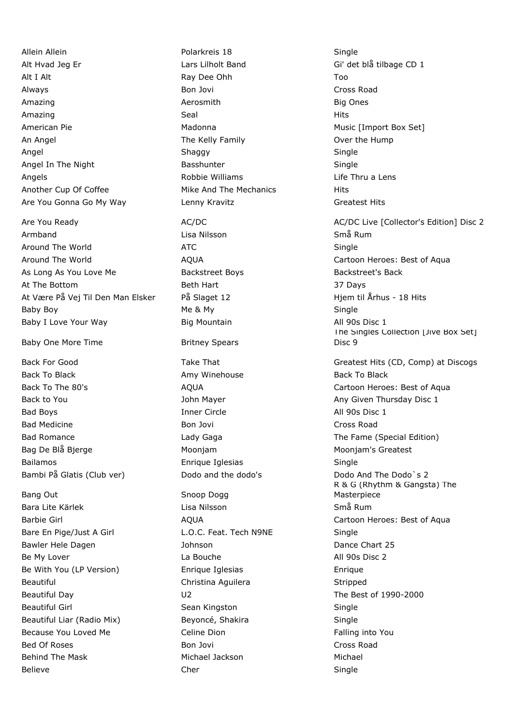Allein Allein Polarkreis 18 Single Alt Hvad Jeg Er Lilholt Band Gi' det blå tilbage CD 1 Alt I Alt Ray Dee Ohh Too Always Bon Jovi Cross Road Amazing Aerosmith Big Ones Amazing Seal Hits American Pie **Matoma** Madonna Music [Import Box Set] An Angel The Kelly Family Cover the Hump Angel Shaggy Single Angel In The Night **Basshunter** Basshunter Single Angels **Angels Robbie Williams Life Thru a Lens Lens Life Thru a Lens** Another Cup Of Coffee Mike And The Mechanics Hits Are You Gonna Go My Way **Lenny Kravitz Connect Accord Greatest Hits** Greatest Hits

Armband Lisa Nilsson Små Rum Around The World **ATC** ATC **ATC** Single Around The World **AQUA** ACCE ACCESS AGUA Cartoon Heroes: Best of Aqua As Long As You Love Me **Backstreet Boys** Backstreet's Backstreet's Backstreet's Backstreet's Backstreet's Backstreet's Backstreet's Backstreet's Backstreet's Backstreet's Backstreet's Backstreet's Backstreet's Backstreet's At The Bottom **Beth Hart** Beth Hart 37 Days At Være På Vej Til Den Man Elsker På Slaget 12 Hymmun Hjem til Århus - 18 Hits Baby Boy Me & My Single Baby I Love Your Way **Big Mountain Big Mountain** All 90s Disc 1

Baby One More Time **Britney Spears** 

Back To Black Amy Winehouse Back To Black To Black To Black To Black To Black Bad Boys **Inner Circle All 90s Disc 1** Bad Medicine **Bon Jovi Cross Road** Cross Road Cross Road Bag De Blå Bjerge Moonjam Moonjam's Greatest Bailamos Enrique Iglesias Single Bambi På Glatis (Club ver) Dodo and the dodo's Dodo And The Dodo's 2

Bang Out Snoop Dogg Bara Lite Kärlek Lisa Nilsson Små Rum Bare En Pige/Just A Girl **L.O.C. Feat. Tech N9NE** Single Bawler Hele Dagen **Dance Chart 25** Johnson **Dance Chart 25** Be My Lover **La Bouche** La Bouche **All 90s Disc 2** Be With You (LP Version) Enrique Iglesias Enrique Beautiful **Christina Aguilera** Stripped Christina Aguilera Stripped Stripped Beautiful Day U2 The Best of 1990-2000 Beautiful Girl Sean Kingston Sean Kingston Single Beautiful Liar (Radio Mix) Beyoncé, Shakira Single Because You Loved Me **Falling into You** Celine Dion Falling into You Bed Of Roses **Bon Jovi Cross Road Bon Jovi Cross Road** Behind The Mask **Michael Jackson** Michael Jackson Michael Jackson Michael

Believe Cher Single

Are You Ready **AC/DC** AC/DC AC/DC AC/DC AC/DC Live [Collector's Edition] Disc 2 The Singles Collection [Jive Box Set] Disc 9 Back For Good **Take That** Take That Greatest Hits (CD, Comp) at Discogs Back To The 80's **AQUA** Cartoon Heroes: Best of Aqua Back to You **Back to You John Mayer** Any Given Thursday Disc 1 Bad Romance **Easily Communist Club Caga** Club Caga The Fame (Special Edition) R & G (Rhythm & Gangsta) The Masterpiece Barbie Girl **AQUA** Cartoon Heroes: Best of Aqua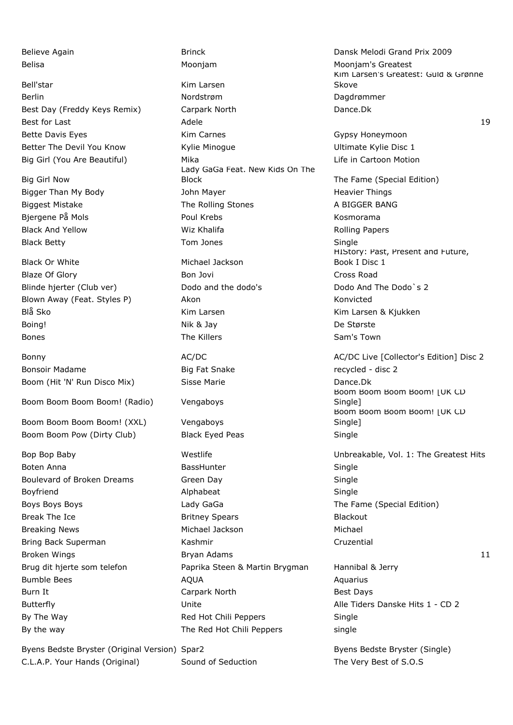Bell'star **Kim Larsen** Berlin Nordstrøm Nordstrøm Dagdrømmer Best Day (Freddy Keys Remix) Carpark North Carpare. Dance. Dk Best for Last Adele 19 Bette Davis Eyes **Kim Carnes** Communication Carnes Gypsy Honeymoon Better The Devil You Know **Kylie Minogue** Number 2016 Ultimate Kylie Disc 1 Big Girl (You Are Beautiful) Mika Mika Life in Cartoon Motion

Big Girl Now

Black Or White Michael Jackson

Boom Boom Boom Boom! (Radio) Vengaboys

Boom Boom Boom Boom! (XXL) Vengaboys Boom Boom Pow (Dirty Club) Black Eyed Peas Single

Byens Bedste Bryster (Original Version) Spar2 Byens Bedste Bryster (Single) C.L.A.P. Your Hands (Original) Sound of Seduction The Very Best of S.O.S

Lady GaGa Feat. New Kids On The Block Block The Fame (Special Edition) Bigger Than My Body John Mayer Heavier Things Biggest Mistake The Rolling Stones A BIGGER BANG Bjergene På Mols **Poul Krebs** Poul Krebs Kosmorama Black And Yellow **Example 20 Wiz Khalifa** Rolling Papers Rolling Papers Black Betty **Single Single Single Single Single** Tom Jones **Single Single** Blaze Of Glory **Bon Jovi** Bon Jovi Cross Road Blinde hjerter (Club ver) Dodo and the dodo's Dodo And The Dodo's 2 Blown Away (Feat. Styles P) Akon Akon Konvicted Blå Sko Kim Larsen Kim Larsen & Kjukken Boing! Nik & Jay De Største Bones **Sam's Town Sam's Town Sam's Town Sam's Town** Sam's Town Sam's Town Sam's Town Sam's Town Sami Bonsoir Madame The South Consoling Big Fat Snake The Recycled - disc 2 Boom (Hit 'N' Run Disco Mix) Sisse Marie Cassen Marie Communist Control Dance. Dk Boten Anna **BassHunter** BassHunter **Single** Boten Anna Single Boulevard of Broken Dreams Green Day Green Day Boyfriend **Alphabeat** Alphabeat Single Boys Boys Boys **Example 2** Lady GaGa The Fame (Special Edition) Break The Ice **Britney Spears** Britney Spears Blackout Breaking News Michael Jackson Michael Bring Back Superman **Kashmir** Kashmir Cruzential Broken Wings **Broken Adams** Bryan Adams **11** and the Broken Wings and the Bryan Adams **11** Brug dit hjerte som telefon **Paprika Steen & Martin Brygman** Hannibal & Jerry Bumble Bees **AQUA** Aquarius AQUA Burn It **Burn It Carpark North** Best Days By The Way **Red Hot Chili Peppers** Single By the way single September 2011 The Red Hot Chili Peppers single

Believe Again **Brinck** Brinck **Dansk Melodi Grand Prix 2009** Belisa Moonjam Moonjam's Greatest Kim Larsen's Greatest: Guld & Grønne Skove

HIStory: Past, Present and Future, Book I Disc 1

Bonny **AC/DC** AC/DC AC/DC AC/DC AC/DC AC/DC Eive [Collector's Edition] Disc 2 Boom Boom Boom Boom! [UK CD Single] Boom Boom Boom Boom! | UK CD Single]

Bop Bop Baby The Greatest Hits Westlife The Unbreakable, Vol. 1: The Greatest Hits

Butterfly Unite Alle Tiders Danske Hits 1 - CD 2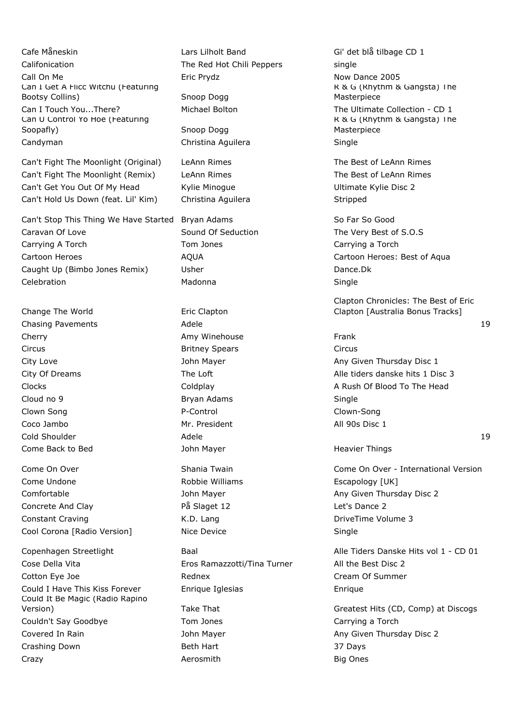Cafe Måneskin Lars Lilholt Band Gi' det blå tilbage CD 1 Califonication The Red Hot Chili Peppers single Call On Me **Eric Prydz Example 2005 Call On Me Now Dance 2005** Can I Get A Flicc Witchu (Featuring Bootsy Collins) Snoop Dogg Can I Touch You...There? Michael Bolton The Ultimate Collection - CD 1 Can U Control Yo Hoe (Featuring Soopafly) Soopafly Snoop Dogg Candyman Christina Aguilera Single

Can't Fight The Moonlight (Original) LeAnn Rimes The Best of LeAnn Rimes Can't Fight The Moonlight (Remix) LeAnn Rimes The Best of LeAnn Rimes Can't Get You Out Of My Head Kylie Minogue Ultimate Kylie Disc 2 Can't Hold Us Down (feat. Lil' Kim) Christina Aguilera Stripped

Can't Stop This Thing We Have Started Bryan Adams So Far So Good Caravan Of Love **Sound Of Seduction** The Very Best of S.O.S Carrying A Torch Tom Jones Carrying a Torch Tom Jones Carrying a Torch Carrying a Torch Cartoon Heroes **AQUA** Cartoon Heroes: Best of Aqua Caught Up (Bimbo Jones Remix) Usher Dance. Dk Celebration Madonna Single

Change The World **Example 2** Eric Clapton Chasing Pavements **Adele** 19 Adele 19 and 20 Adele 19 and 20 and 20 and 20 and 20 and 20 and 20 and 20 and 20 and 20 and 20 and 20 and 20 and 20 and 20 and 20 and 20 and 20 and 20 and 20 and 20 and 20 and 20 and 20 and 20 Cherry **Amy Winehouse** Frank Circus Britney Spears Circus Cloud no 9 and Single Single Bryan Adams and Single Single Clown Song **Clown-Song** P-Control P-Control Clown-Song Coco Jambo Mr. President All 90s Disc 1  $\blacksquare$ Cold Shoulder and Adele 19 and Adele 19 and Adele 19 and Adele 19 and Adele 19 and Adele 19 and Adele 19 and Adele 19 and Adele 19 and Adele 19 and Adele 19 and Adele 19 and Adele 19 and Adele 19 and Adele 19 and Ade Come Back to Bed **Come Back to Bed** John Mayer **Heavier Things** 

Come Undone The Robbie Williams The Escapology [UK] Comfortable **Comfortable** John Mayer **Any Given Thursday Disc 2** Concrete And Clay På Slaget 12 Let's Dance 2 Constant Craving The Constant Craving Constant Craving Constant Craving A.D. Lang Cool Corona [Radio Version] Nice Device Nice Single

Cose Della Vita Eros Ramazzotti/Tina Turner All the Best Disc 2 Cotton Eye Joe **Cotton Eye Joe Cream Of Summer** Rednex **Cream Of Summer** Could I Have This Kiss Forever Enrique Iglesias Enrique Could It Be Magic (Radio Rapino Couldn't Say Goodbye Tom Jones Tom Jones Carrying a Torch Covered In Rain **Any Covered In Rain** John Mayer Any Given Thursday Disc 2 Crashing Down Beth Hart 37 Days Crazy Aerosmith Big Ones

R & G (Rhythm & Gangsta) The Masterpiece R & G (Rhythm & Gangsta) The Masterpiece

Clapton Chronicles: The Best of Eric Clapton [Australia Bonus Tracks]

City Love **City Love City Love John Mayer Any Given Thursday Disc 1** City Of Dreams The Loft Alle tiders danske hits 1 Disc 3 Clocks Coldplay A Rush Of Blood To The Head

Come On Over **Shania Twain Come On Over - International Version** Come On Over - International Version

Copenhagen Streetlight Baal Alle Tiders Danske Hits vol 1 - CD 01

Version) Take That Greatest Hits (CD, Comp) at Discogs Greatest Hits (CD, Comp) at Discogs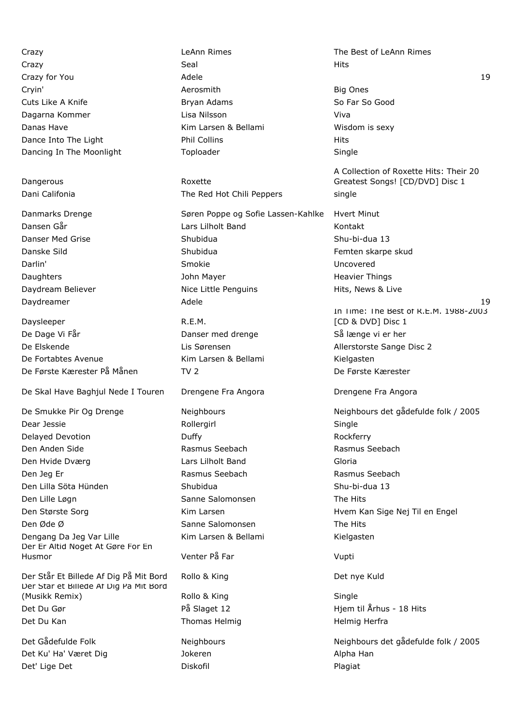Crazy Crazy Crazy Crazy Crazy Crazy Crazy Crazy Crazy Crazy Crazy Crazy Crazy Crazy Crazy Crazy Crazy Crazy Crazy Crazy Crazy Crazy Crazy Crazy Crazy Crazy Crazy Crazy Crazy Crazy Crazy Crazy Crazy Crazy Crazy Crazy Crazy Crazy Seal Hits Crazy for You and the Adele 19th Adele 19th Adele 19th Adele 19th Adele 19th Adele 19th Adele 19th Adele 19th Adele Cryin' Aerosmith Big Ones Cuts Like A Knife **Bryan Adams** Bryan Adams So Far So Good Dagarna Kommer Lisa Nilsson Viva Danas Have **Kim Larsen & Bellami** Wisdom is sexy Dance Into The Light **Phil Collins** Phil Collins **Phil Collins** Hits Dancing In The Moonlight Toploader Single

Dangerous **Roxette** 

Daysleeper R.E.M. De Dage Vi Får Solle i Banser med drenge Så længe vi er her bere stattet Danser med drenge Så længe vi er her De Elskende Lis Sørensen Allerstorste Sange Disc 2 De Fortabtes Avenue The Richard Kim Larsen & Bellami Kielgasten De Første Kærester På Månen TV 2 TV 2 De Første Kærester

De Skal Have Baghjul Nede I Touren Drengene Fra Angora Drengene Fra Angora

Dear Jessie and Single Rollergirl Single Single Delayed Devotion **Duffy Duffy Contained Bullet Rockferry Rockferry** Den Anden Side Rasmus Seebach Rasmus Seebach Den Hvide Dværg Lars Lilholt Band Gloria Den Jeg Er **Rasmus Seebach** Rasmus Seebach Rasmus Seebach Rasmus Seebach Den Lilla Söta Hünden Shubidua Shu-bi-dua 13 Den Lille Løgn Sanne Salomonsen The Hits Den Største Sorg New Kim Larsen Hvem Kan Sige Nej Til en Engel Den Øde Ø Sanne Salomonsen The Hits Dengang Da Jeg Var Lille Kim Larsen & Bellami Kielgasten Der Er Altid Noget At Gøre For En Husmor Venter På Far Vupti

Der Står Et Billede Af Dig På Mit Bord Rollo & King Det nye Kuld Der Står et Billede Af Dig På Mit Bord (Musikk Remix) **Rollo & King** Single Single Det Du Gør På Slaget 12 Hjem til Århus - 18 Hits Det Du Kan Thomas Helmig Herfrands Helmig Herfrands Helmig Herfrands Helmig Herfrands Helmig Herfrands Herfrands Herfrands Herfrands Herfrands Herfrands Herfrands Herfrands Herfrands Herfrands Herfrands Herfrands Herfrands

Det Ku' Ha' Været Dig Sammen Alpha Han Northern Alpha Han Alpha Han Det' Lige Det North Contract Diskofil Plagiat Plagiat Plagiat

Dani Califonia The Red Hot Chili Peppers single

Danmarks Drenge Søren Poppe og Sofie Lassen-Kahlke Hvert Minut Dansen Går Lars Lilholt Band Kontakt Danser Med Grise Shubidua Shu-bi-dua 13 Danske Sild **Shubidua** Shubidua **Femten skarpe skud** Darlin' Smokie Uncovered Daughters **Communist Communist Communist Communist Communist Communist Communist Communist Communist Communist Communist Communist Communist Communist Communist Communist Communist Communist Communist Communist Communist C** Daydream Believer **Nice Little Penguins** Hits, News & Live

A Collection of Roxette Hits: Their 20 Greatest Songs! [CD/DVD] Disc 1 Daydreamer Adele 19 In Time: The Best of R.E.M. 1988-2003 [CD & DVD] Disc 1 De Smukke Pir Og Drenge Neighbours Neighbours det gådefulde folk / 2005 Det Gådefulde Folk Neighbours Neighbours det gådefulde folk / 2005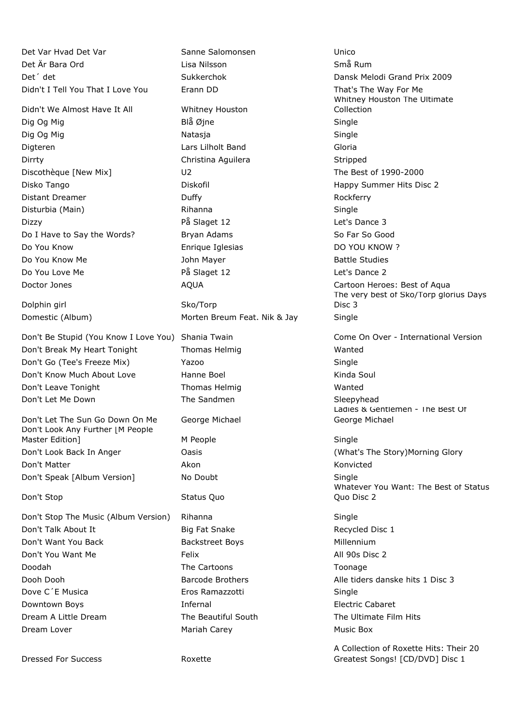Det Var Hvad Det Var Sanne Salomonsen Unico Det Är Bara Ord Lisa Nilsson Små Rum Det´ det Sukkerchok Dansk Melodi Grand Prix 2009 Didn't I Tell You That I Love You Erann DD That's The Way For Me

Didn't We Almost Have It All Whitney Houston Dig Og Mig Single Single Blå Øjne Single Single Single Dig Og Mig Natasia Natasja Single Single Digteren Lars Lilholt Band Gloria Dirrty **Christina Aguilera** Stripped Stripped Stripped Stripped Stripped Stripped Stripped Stripped Stripped Stripped Stripped Stripped Stripped Stripped Stripped Stripped Stripped Stripped Stripped Stripped Stripped Strip Discothèque [New Mix] U2 The Best of 1990-2000 Disko Tango Diskofil Happy Summer Hits Disc 2 Distant Dreamer **Duffy Duffy Contained Business Rockferry Rockferry** Disturbia (Main) **Rihanna** Rihanna **Single** Single Dizzy På Slaget 12 Let's Dance 3 Do I Have to Say the Words? Bryan Adams So Far So Good Do You Know Enrique Iglesias DO YOU KNOW ? Do You Know Me **Source Accord Studies** John Mayer **Battle Studies** Battle Studies Do You Love Me **På Slaget 12** All controllers be the Passacre På Slaget 12 All controllers and the Passacre 2

Dolphin girl North Sko/Torp

Don't Break My Heart Tonight Thomas Helmig Thomas Helming Don't Go (Tee's Freeze Mix) Yazoo Single Don't Know Much About Love Hanne Boel New York Kinda Soul Don't Leave Tonight Thomas Helmig Wanted Don't Let Me Down The Sandmen Sleepyhead Sleepyhead

Don't Let The Sun Go Down On Me George Michael Don't Look Any Further [M People Master Edition] M People M People Single Don't Look Back In Anger **Oasis** Oasis **Container Containers** (What's The Story)Morning Glory Don't Matter **Akon** Akon Konvicted Konvicted Don't Speak [Album Version] No Doubt Single Single

Don't Stop The Music (Album Version) Rihanna Show Single Don't Talk About It **Big Fat Snake** Big Fat Snake Recycled Disc 1 Don't Want You Back **Backstreet Boys** Backstreet Boys **Millennium** Don't You Want Me Felix All 90s Disc 2 Doodah The Cartoons Toonage Dooh Dooh Barcode Brothers Alle tiders danske hits 1 Disc 3 Dove C'E Musica **Eros Ramazzotti** Single Downtown Boys **Infernal Electric Cabaret Electric Cabaret** Dream A Little Dream The Beautiful South The Ultimate Film Hits

Dressed For Success Roxette

Domestic (Album) Morten Breum Feat. Nik & Jay Single

Don't Stop Status Quo

Dream Lover **Mariah Carey Communist Carey** Music Box

Whitney Houston The Ultimate Collection Doctor Jones **AQUA** AQUA Cartoon Heroes: Best of Aqua The very best of Sko/Torp glorius Days Disc 3 Don't Be Stupid (You Know I Love You) Shania Twain Come On Over - International Version Ladies & Gentlemen - The Best Of George Michael Whatever You Want: The Best of Status Quo Disc 2

A Collection of Roxette Hits: Their 20 Greatest Songs! [CD/DVD] Disc 1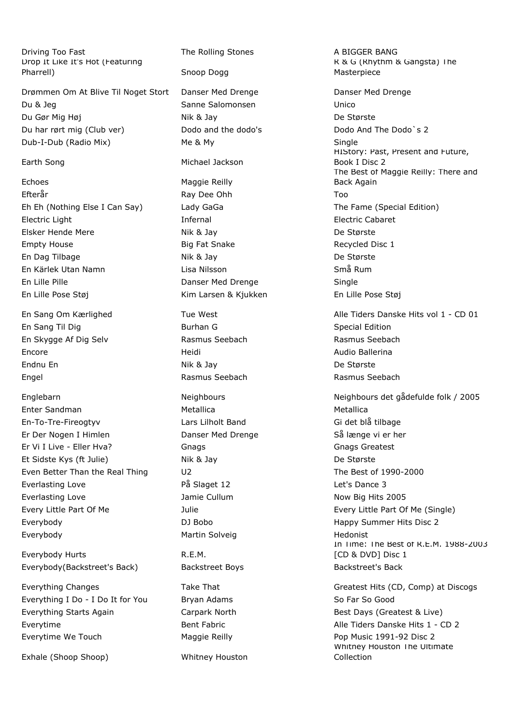Driving Too Fast The Rolling Stones A BIGGER BANG Drop It Like It's Hot (Featuring Pharrell) Snoop Dogg

Drømmen Om At Blive Til Noget Stort Danser Med Drenge New Danser Med Drenge Du & Jeg Sanne Salomonsen Unico Du Gør Mig Høj Nik & Jay Nik & Jay De Største Du har rørt mig (Club ver) Dodo and the dodo's Dodo And The Dodo`s 2 Dub-I-Dub (Radio Mix) Me & My Single

Echoes Maggie Reilly Efterår Ray Dee Ohh Too Eh Eh (Nothing Else I Can Say) Lady GaGa The Fame (Special Edition) Electric Light **Infernal** Infernal **Electric Cabaret** Elsker Hende Mere **Nik & Jay De Største** Empty House **Big Fat Snake** Recycled Disc 1 En Dag Tilbage Nik & Jay De Største En Kärlek Utan Namn Lisa Nilsson Små Rum En Lille Pille **Danser Med Drenge** Single En Lille Pose Støj Kim Larsen & Kjukken En Lille Pose Støj

En Sang Til Dig Special Edition Communication Special Edition En Skygge Af Dig Selv **Rasmus Seebach** Rasmus Seebach Rasmus Seebach Encore **Encore Encore Encore Encore Encore Audio Ballerina** Endnu En Nik & Jay De Største Engel Rasmus Seebach Rasmus Seebach

Enter Sandman Metallica Metallica En-To-Tre-Fireogtyv Lars Lilholt Band Gi det blå tilbage Er Der Nogen I Himlen Danser Med Drenge Så længe vi er her Er Vi I Live - Eller Hva? Gnags Gnags Greatest Et Sidste Kys (ft Julie) Nik & Jay De Største Even Better Than the Real Thing U2 U2 The Best of 1990-2000 Everlasting Love **Everlasting Love På Slaget 12** Let's Dance 3 Everlasting Love **Communist Cullum** Jamie Cullum Now Big Hits 2005 Every Little Part Of Me Julie Every Little Part Of Me (Single) Everybody **Exerybody DJ Bobo** DJ Bobo Happy Summer Hits Disc 2 Everybody **Martin Solveig** Martin Solveig Martin Solveig Hedonist

Everybody Hurts **R.E.M.** Everybody(Backstreet's Back) Backstreet Boys Backstreet's Backstreet's Back

Everything I Do - I Do It for You Bryan Adams So Far So Good Everything Starts Again **Carpark North Best Days (Greatest & Live)** Best Days (Greatest & Live) Everytime **Bent Fabric** Bent Fabric Alle Tiders Danske Hits 1 - CD 2 Everytime We Touch Maggie Reilly Pop Music 1991-92 Disc 2

Exhale (Shoop Shoop) Whitney Houston

Earth Song **Michael Jackson** 

R & G (Rhythm & Gangsta) The Masterpiece HIStory: Past, Present and Future, Book I Disc 2 The Best of Maggie Reilly: There and Back Again En Sang Om Kærlighed Tue West Alle Tiders Danske Hits vol 1 - CD 01 Englebarn Neighbours Neighbours det gådefulde folk / 2005 In Time: The Best of R.E.M. 1988-2003 [CD & DVD] Disc 1 Everything Changes Take That Greatest Hits (CD, Comp) at Discogs

> Whitney Houston The Ultimate Collection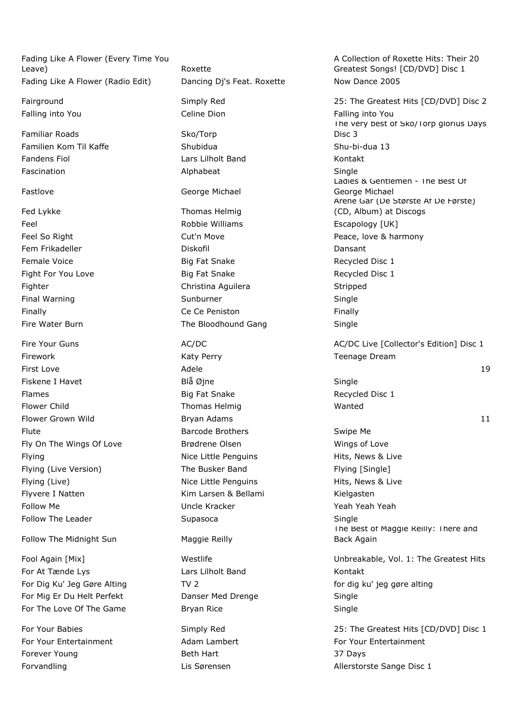Fading Like A Flower (Every Time You Leave) **Example 2018** Roxette Fading Like A Flower (Radio Edit) Dancing Dj's Feat. Roxette Now Dance 2005

Familiar Roads Sko/Torp

Firework **Katy Perry Communist Communist Perry Research Pream** Teenage Dream Fiskene I Havet **Blå Øjne** Blå Øjne Single Flames **Big Fat Snake** Recycled Disc 1 Flower Child **Thomas Helmig** Wanted Wanted Flute **Example 2 Swipe Media and Swipe Media and Swipe Media and Swipe Media and Swipe Media and Swipe Media and Swipe Media and Swipe Media and Swipe Media and Swipe Media and Swipe Media and Swipe Media and Swipe Media a** Fly On The Wings Of Love **Brødrene Olsen** Brown Wings of Love Flying **Nice Little Penguins** Hits, News & Live **Nice Little Penguins** Flying (Live Version) The Busker Band Flying [Single] Flying (Live) **Nice Little Penguins** Hits, News & Live Flyvere I Natten Kim Larsen & Bellami Kielgasten Kielgasten Follow Me Uncle Kracker Yeah Yeah Yeah Follow The Leader **Supasoca** Supasoca **Supasoca** Single

Follow The Midnight Sun Maggie Reilly

For At Tænde Lys **Example 20** Lars Lilholt Band Kontakt For Dig Ku' Jeg Gøre Alting TV 2 for dig ku' jeg gøre alting til for dig ku' jeg gøre alting For Mig Er Du Helt Perfekt Danser Med Drenge Single For The Love Of The Game Bryan Rice **Bryan Rice** Single

Forever Young **Beth Hart** Beth Hart 37 Days

Falling into You **Falling into You** Celine Dion Falling into You Familien Kom Til Kaffe Shubidua Shu-bi-dua 13 Fandens Fiol **Lars Lilholt Band Communist Contact** Kontakt Fascination **Alphabeat** Alphabeat Single Fastlove George Michael Fed Lykke Thomas Helmig Feel **Example 20** Feel Robbie Williams **Example 20** Escapology [UK] Feel So Right **Cut'n Move Cution** Cutto **Cution** Cutto **Peace, love & harmony** Fem Frikadeller North Louis (Diskofil North Louis Cansant Female Voice **Big Fat Snake** Recycled Disc 1 Fight For You Love **Big Fat Snake** Recycled Disc 1 Fighter **Christina Aguilera** Stripped Christina Aguilera Stripped Final Warning The Sunburner Sunburner Single Finally **Finally** Ce Ce Peniston **Finally Finally Finally** Fire Water Burn The Bloodhound Gang Single

A Collection of Roxette Hits: Their 20 Greatest Songs! [CD/DVD] Disc 1

Fairground **Example 25: The Greatest Hits [CD/DVD]** Disc 2 The very best of Sko/Torp glorius Days Disc 3 Ladies & Gentlemen - The Best Of George Michael Årene Går (De Største Af De Første) (CD, Album) at Discogs Fire Your Guns **AC/DC** AC/DC AC/DC AC/DC AC/DC Live [Collector's Edition] Disc 1 First Love Adele 19 Flower Grown Wild **Example Bryan Adams** 11 and the Bryan Adams 11 and the Bryan Adams 11 and the Bryan Adams 11 The Best of Maggie Reilly: There and Back Again Fool Again [Mix] The Greatest Hits Westlife The Unbreakable, Vol. 1: The Greatest Hits For Your Babies Simply Red 25: The Greatest Hits [CD/DVD] Disc 1

For Your Entertainment **Adam Lambert** For Your Entertainment Forvandling The Lis Sørensen Allerstorste Sange Disc 1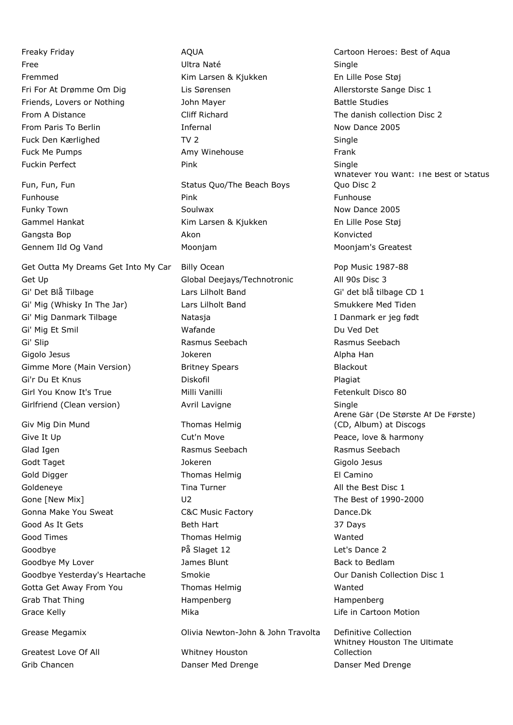Get Outta My Dreams Get Into My Car Billy Ocean Pop Music 1987-88 Global Deejays/Technotronic All 90s Disc 3 Gi' Det Blå Tilbage Lars Lilholt Band Gi' det blå tilbage CD 1 Gi' Mig (Whisky In The Jar) Lars Lilholt Band Smukkere Med Tiden Gi' Mig Danmark Tilbage Natasja I Danmark er jeg født Gi' Mig Et Smil National Wafande Communication Communication Communication Communication Du Ved Det Gi' Slip **Rasmus Seebach** Rasmus Seebach **Rasmus Seebach** Rasmus Seebach Gigolo Jesus and Alpha Han Jokeren Alpha Han Alpha Han Jokeren Alpha Han Alpha Han Alpha Han Alpha Han Alpha H Gimme More (Main Version) Britney Spears Theorem Blackout Gi'r Du Et Knus **Diskofil Diskofil** Plagiat Plagiat Girl You Know It's True **Milli Vanilli** Fetenkult Disco 80 Girlfriend (Clean version) **Avril Lavigne** Single Single

Giv Mig Din Mund Thomas Helmig Give It Up **Cut'n Move Cution** Move **Peace, love & harmony** Glad Igen **Rasmus Seebach** Rasmus Seebach Rasmus Seebach Godt Taget Jokeren Gigolo Jesus Gold Digger **Thomas Helmig** El Camino Goldeneye **Tima Turner** The Turner All the Best Disc 1 Gone [New Mix] Cone [New Mix] U2 Cone [New Mix] The Best of 1990-2000 Gonna Make You Sweat **C&C Music Factory CAC Music Factory** Dance.Dk Good As It Gets **Beth Hart** 37 Days Good Times **Thomas Helmig** Wanted Goodbye På Slaget 12 Let's Dance 2 Goodbye My Lover **Communist Coodbye My Lover** James Blunt **Back to Bedlam** Goodbye Yesterday's Heartache Smokie Smokie Controllection Disc 1 Gotta Get Away From You **Thomas Helmig** Thomas Helmig Wanted Grab That Thing **Hampenberg** Hampenberg Hampenberg Hampenberg Grace Kelly **Mika** Mika Life in Cartoon Motion **Cartoon** Motion

Greatest Love Of All Whitney Houston Grib Chancen **Danser Med Drenge** Danser Med Drenge Danser Med Drenge

Free Single Single Ultra Naté Single Fremmed Kim Larsen & Kjukken En Lille Pose Støj Fri For At Drømme Om Dig Lis Sørensen Allerstorste Sange Disc 1 Friends, Lovers or Nothing and Mayer and Dohn Mayer and Battle Studies From A Distance Cliff Richard The danish collection Disc 2 From Paris To Berlin **Infernal** Infernal Now Dance 2005 Fuck Den Kærlighed TV 2 TV 2 Single Fuck Me Pumps **Amy Winehouse** Frank Fuckin Perfect **Pink** Pink **Pince All Pince Pince Pince Pince Pince Pince Pince Pince Pince Pince Pince Pince Pince Pince Pince Pince Pince Pince Pince Pince Pince Pince Pince Pince Pince Pince Pince Pince Pince Pince Pinc** Fun, Fun, Fun Status Quo/The Beach Boys Funhouse Pink Funhouse Funky Town **Soulwax** Soulwax **Now Dance 2005** Gammel Hankat Kim Larsen & Kjukken En Lille Pose Støj Gangsta Bop **Akon** Akon **Akon** Akon Konvicted Gennem Ild Og Vand **Mooniam** Moonjam Moonjam Moonjam's Greatest

Freaky Friday **AQUA** AQUA Cartoon Heroes: Best of Aqua Whatever You Want: The Best of Status Quo Disc 2 Årene Går (De Største Af De Første) (CD, Album) at Discogs Grease Megamix Olivia Newton-John & John Travolta Definitive Collection Whitney Houston The Ultimate Collection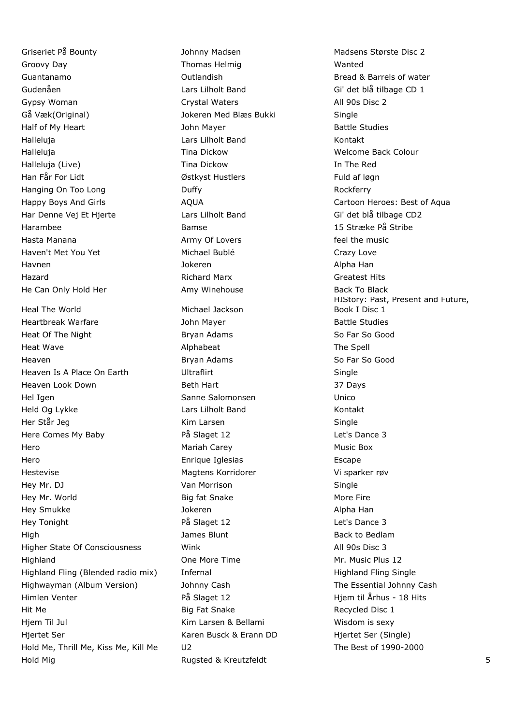Griseriet På Bounty **Mathem Madsen** Johnny Madsen Madsen Madsens Største Disc 2 Groovy Day **Thomas Helmig** Wanted Guantanamo Outlandish Bread & Barrels of water Gudenåen Communisties Lars Lilholt Band Gi' det blå tilbage CD 1 Gypsy Woman Crystal Waters **All 90s Disc 2** Gå Væk(Original) Jokeren Med Blæs Bukki Single Half of My Heart **Half of My Heart** John Mayer **Battle Studies** Halleluja Lars Lilholt Band Kontakt Halleluja Tina Dickow Welcome Back Colour Halleluja (Live) Tina Dickow In The Red Han Får For Lidt Østkyst Hustlers Fuld af løgn Hanging On Too Long **Example 20** Duffy **Containers** Rockferry Har Denne Vej Et Hjerte Lars Lilholt Band Gi' det blå tilbage CD2 Harambee Bamse 15 Stræke På Stribe Hasta Manana **Army Of Lovers Army Of Lovers Army Of Lovers Feel the music** Haven't Met You Yet **Michael Bublé** Crazy Love Havnen Jokeren Alpha Han Hazard Richard Marx Greatest Hits He Can Only Hold Her **Amy Winehouse** Back To Black To Black Heal The World **Michael Jackson** 

Heartbreak Warfare The Mayer Communication of the Studies Heat Of The Night **Bryan Adams** Bryan Adams So Far So Good Heat Wave **Alphabeat** Alphabeat **Alphabeat** The Spell Heaven **Bryan Adams** So Far So Good **Bryan Adams** So Far So Good Heaven Is A Place On Earth **Ultraflirt** Ultraflick Controller Single Heaven Look Down Beth Hart 37 Days Hel Igen Sanne Salomonsen Unico Held Og Lykke Lars Lilholt Band Kontakt Her Står Jeg Single Single Kim Larsen Single Single Here Comes My Baby **På Slaget 12** det's Dance 3 Hero Mariah Carey Music Box Hero Enrique Iglesias Escape Hestevise Magtens Korridorer Vi sparker røv Hey Mr. DJ **Single Single** Van Morrison **Single** Single Hey Mr. World **Big fat Snake** More Fire More Fire Hey Smukke Jokeren Alpha Han Hey Tonight **Example 2 Reserves** På Slaget 12 Figure 2 Let's Dance 3 High James Blunt Back to Bedlam Higher State Of Consciousness Mink Mink All 90s Disc 3 Highland One More Time Mr. Music Plus 12 Highland Fling (Blended radio mix) Infernal Highland Highland Fling Single Highwayman (Album Version) Johnny Cash The Essential Johnny Cash Himlen Venter **På Slaget 12** Himlen Venter en en en andere På Slaget 12 Himlen Venter en andere På Slaget 12 Himlen Venter en andere På Slaget 12 Himlen Venter en andere På Slaget 12 Himlen Venter en andere På Slaget 12 Hi Hit Me **Big Fat Snake** Recycled Disc 1 Hjem Til Jul **Kim Larsen & Bellami** Wisdom is sexy Hjertet Ser Karen Busck & Erann DD Hjertet Ser (Single) Hold Me, Thrill Me, Kiss Me, Kill Me U2 The Best of 1990-2000 Hold Mig **Rugsted & Kreutzfeldt** 5

Happy Boys And Girls **AQUA** AQUA Cartoon Heroes: Best of Aqua HIStory: Past, Present and Future, Book I Disc 1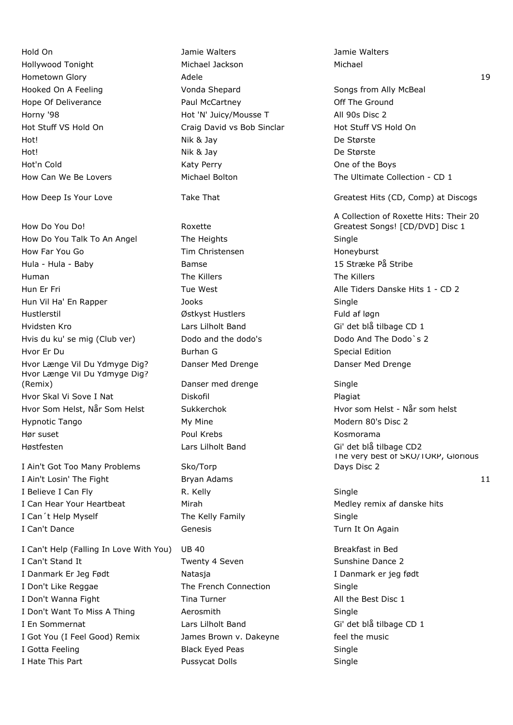Hold On Jamie Walters Jamie Walters Hollywood Tonight Michael Jackson Michael Hometown Glory **Adele** 19 Adele 19 Adele 19 Adele 19 Adele 19 Adele 19 Adele 19 Adele 19 Adele 19 Adele 19 Adele 19 Adele 19 Adele 19 Adele 19 Adele 19 Adele 19 Adele 19 Adele 19 Adele 19 Adele 19 Adele 19 Adele 19 Adele 1 Hooked On A Feeling The Songs of Conda Shepard Songs Songs from Ally McBeal Hope Of Deliverance The Paul McCartney Paul McCartney Constanting Off The Ground Horny '98 **Hot 'N' Juicy/Mousse T** All 90s Disc 2 Hot Stuff VS Hold On Craig David vs Bob Sinclar Hot Stuff VS Hold On Hot! Nik & Jay De Største Hot! Nik & Jay De Største Hot'n Cold Katy Perry One of the Boys

How Do You Do! Roxette How Do You Talk To An Angel The Heights Single How Far You Go **Tim Christensen** Honeyburst Honeyburst Hula - Hula - Baby **Bamse** Bamse 15 Stræke På Stribe Human The Killers The Killers Hun Er Fri **Tue West** Alle Tiders Danske Hits 1 - CD 2 Hun Vil Ha' En Rapper Jooks Single Hustlerstil Østkyst Hustlers Fuld af løgn Hvidsten Kro Lars Lilholt Band Gi' det blå tilbage CD 1 Hvis du ku' se mig (Club ver) Dodo and the dodo's Dodo And The Dodo`s 2 Hvor Er Du Burhan G Special Edition Communication Communication Communication Communication Communication Communication Hvor Længe Vil Du Ydmyge Dig? Danser Med Drenge Danser Med Drenge Hvor Længe Vil Du Ydmyge Dig? (Remix) Danser med drenge Single Hvor Skal Vi Sove I Nat The Research Diskofil Plague and Plagiat Hvor Som Helst, Når Som Helst Sukkerchok Sukkerchok Hvor som Helst - Når som helst Hypnotic Tango **My Mine** My Mine Modern 80's Disc 2 Hør suset **Abbreville Communist Communist Communist Communist Communist Communist Communist Communist Communist Communist Communist Communist Communist Communist Communist Communist Communist Communist Communist Communist** Høstfesten Lars Lilholt Band Gi' det blå tilbage CD2

I Ain't Got Too Many Problems Sko/Torp I Ain't Losin' The Fight **Bryan Adams** 11 **Bryan Adams** 11 I Believe I Can Fly Single No. Kelly Single Single I Can Hear Your Heartbeat Mirah Mirah Medley remix af danske hits I Can't Help Myself The Kelly Family The Kelly Family Single I Can't Dance **Genesis** Genesis Turn It On Again

I Can't Help (Falling In Love With You) UB 40 Breakfast in Bed I Can't Stand It **I** Can't Stand It **Twenty 4 Seven** Sunshine Dance 2 I Danmark Er Jeg Født Natasja I Danmark er jeg født I Don't Like Reggae The French Connection Single I Don't Wanna Fight Time Turner Tina Turner All the Best Disc 1 I Don't Want To Miss A Thing **Aerosmith** Aerosmith I En Sommernat Lars Lilholt Band Gi' det blå tilbage CD 1 I Got You (I Feel Good) Remix James Brown v. Dakeyne feel the music I Gotta Feeling Same Black Eyed Peas Single I Hate This Part **Pussycat Dolls** Pussycat Dolls **Single** 

How Can We Be Lovers Michael Bolton The Ultimate Collection - CD 1 How Deep Is Your Love Take That Greatest Hits (CD, Comp) at Discogs A Collection of Roxette Hits: Their 20 Greatest Songs! [CD/DVD] Disc 1

> The very best of SKO/TORP, Glorious Days Disc 2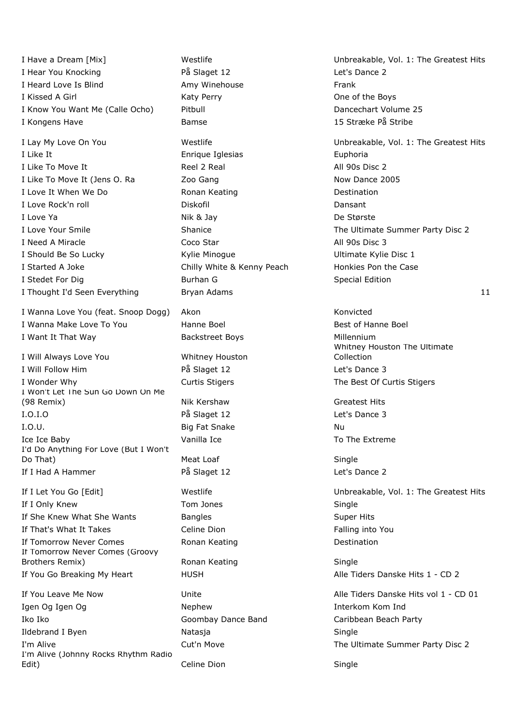I Hear You Knocking The Slaget 12 Let's Dance 2 I Heard Love Is Blind **Amy Winehouse** Frank I Kissed A Girl **Katy Perry Cone of the Boys** Cone of the Boys I Know You Want Me (Calle Ocho) Pitbull November 25 I Kongens Have 15 Stræke På Stribe 15 Stræke På Stribe 15 Stræke På Stribe 15 Stræke På Stribe 15 Str

I Like It **Enrique Iglesias** Euphoria I Like To Move It Reel 2 Real All 90s Disc 2 I Like To Move It (Jens O. Ra Zoo Gang Now Dance 2005 I Love It When We Do **Ronan Keating Ronan Keating Destination** I Love Rock'n roll Diskofil Dansant I Love Ya Nik & Jay De Største I Need A Miracle **Coco Star All 90s Disc 3** I Should Be So Lucky **Example 20 Assets A Report Contains A Report Contains Contains A Report Contains A Report Contains A Report Contains A Report Object 20 Assets A Report Object 20 Assets A Report Object 20 Assets A Rep** I Started A Joke **Chilly White & Kenny Peach** Honkies Pon the Case I Stedet For Dig **Burhan G** Special Edition

I Wanna Love You (feat. Snoop Dogg) Akon Konvicted I Wanna Make Love To You **Hanne Boel** Boel **Best of Hanne Boel** Best of Hanne Boel I Want It That Way Backstreet Boys Millennium

- I Will Always Love You Whitney Houston I Will Follow Him **Example 2** På Slaget 12 Let's Dance 3 I Wonder Why **Curtis Stigers** Curtis Stigers The Best Of Curtis Stigers The Best Of Curtis Stigers I Won't Let The Sun Go Down On Me (98 Remix) Nik Kershaw Greatest Hits I.O.I.O På Slaget 12 Let's Dance 3 I.O.U. Nu and Signal Big Fat Snake Nu and Nu and Nu and Nu and Nu and Nu and Nu and Nu and Nu and Nu and Nu and Nu Ice Ice Baby **Vanilla Ice** To The Extreme I'd Do Anything For Love (But I Won't Do That) Meat Loaf Single If I Had A Hammer **På Slaget 12** Providence 2
- If I Only Knew Tom Jones Single If She Knew What She Wants Bangles Bangles Super Hits If That's What It Takes **Celine Dion** County County Falling into You If Tomorrow Never Comes **Ronan Keating Ronan Keating Ronan Restriction** If Tomorrow Never Comes (Groovy Brothers Remix) **Ronan Keating Single** Single If You Go Breaking My Heart HUSH HITS HEART Alle Tiders Danske Hits 1 - CD 2

If You Leave Me Now **Unite Unite** Alle Tiders Danske Hits vol 1 - CD 01 Igen Og Igen Og Nephew Nephew **Interkom Kom Index** Iko Iko Goombay Dance Band Caribbean Beach Party Ildebrand I Byen Natasia Natasia Single I'm Alive **The Ultimate Summer Party Disc 2** Cut'n Move **The Ultimate Summer Party Disc 2** I'm Alive (Johnny Rocks Rhythm Radio Edit) Celine Dion Communication Celine Dion Single

I Thought I'd Seen Everything Bryan Adams 11 and 12 and 12 and 12 and 12 and 12 and 12 and 12 and 12 and 12 and 12 and 12 and 12 and 12 and 12 and 12 and 12 and 12 and 12 and 12 and 12 and 12 and 12 and 12 and 12 and 12 an

I Have a Dream [Mix] The Greatest Hits Controller Muslim Controller Muslim Controller Unbreakable, Vol. 1: The Greatest Hits

I Lay My Love On You **Westlife** Westlife **Westlife** Unbreakable, Vol. 1: The Greatest Hits I Love Your Smile **Shanice** Shanice **Shanice** The Ultimate Summer Party Disc 2

# Whitney Houston The Ultimate Collection

If I Let You Go [Edit] Westlife Unbreakable, Vol. 1: The Greatest Hits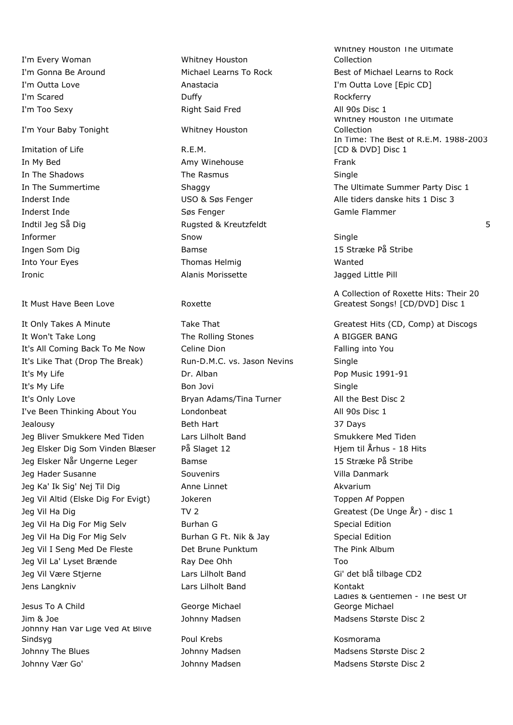I'm Every Woman Whitney Houston

## I'm Your Baby Tonight Whitney Houston

Imitation of Life R.E.M.

### It Must Have Been Love **Roxette**

It Only Takes A Minute Take That Take That Greatest Hits (CD, Comp) at Discogs It Won't Take Long The Rolling Stones A BIGGER BANG It's All Coming Back To Me Now Celine Dion Falling into You It's Like That (Drop The Break) Run-D.M.C. vs. Jason Nevins Single It's My Life **Dr. Alban** Dr. Alban **Pop Music 1991-91** It's My Life **Bon Jovi** Bon Jovi **Single** Bon Jovi **Single** It's Only Love **Bryan Adams/Tina Turner** All the Best Disc 2 I've Been Thinking About You Londonbeat All 90s Disc 1 Jealousy Beth Hart 37 Days Jeg Bliver Smukkere Med Tiden and Lars Lilholt Band Smukkere Med Tiden Jeg Elsker Dig Som Vinden Blæser På Slaget 12 Higm til Århus - 18 Hits Jeg Elsker Når Ungerne Leger Bamse 15 Stræke På Stribe Jeg Hader Susanne Souvenirs Souvenirs Souvenirs Villa Danmark Jeg Ka' Ik Sig' Nej Til Dig Anne Linnet Akvarium Akvarium Jeg Vil Altid (Elske Dig For Evigt) and Jokeren Toppen Af Poppen Af Poppen Af Poppen Af Poppen Af Poppen Af Poppen Af Poppen Af Poppen Af Poppen Af Poppen Af Poppen Af Poppen Af Poppen Af Poppen Af Poppen Af Poppen Af Popp Jeg Vil Ha Dig TV 2 TV 2 Greatest (De Unge År) - disc 1 Jeg Vil Ha Dig For Mig Selv Burhan G New Special Edition Jeg Vil Ha Dig For Mig Selv Burhan G Ft. Nik & Jay Special Edition Jeg Vil I Seng Med De Fleste **Det Brune Punktum** The Pink Album Jeg Vil La' Lyset Brænde Ray Dee Ohh Too Jeg Vil Være Stjerne Tennes Lars Lilholt Band Gi' det blå tilbage CD2

Jesus To A Child George Michael Jim & Joe **Johnny Madsen** Johnny Madsen Madsens Største Disc 2 Johnny Han Var Lige Ved At Blive Sindsyg **Roman Communist Communist Communist Communist Communist Communist Communist Communist Communist Communist Communist Communist Communist Communist Communist Communist Communist Communist Communist Communist Communi** Johnny The Blues **Mathems** Johnny Madsen Madsens Største Disc 2 Johnny Vær Go' Sand Hohnny Madsen Madsen Madsens Største Disc 2

I'm Scared **Duffy Duffy Contained Bullet Contained Bullet Contained Bullet Contained Bullet Contained Bullet Contained Bullet Contained Bullet Contained Bullet Contained Bullet Contained Bullet Contained Bullet Contain** I'm Too Sexy **Right Said Fred** All 90s Disc 1

In My Bed **Amy Winehouse Amy Winehouse** Frank In The Shadows **The Rasmus** Single Inderst Inde Søs Fenger Gamle Flammer Indtil Jeg Så Dig North Studies i Rugsted & Kreutzfeldt Studies i Studies i Studies i Studies Studies Studies S Informer Snow Single Ingen Som Dig Bamse 15 Stræke På Stribe Into Your Eyes **Thomas Helmig** Wanted Ironic **Alanis Morissette** Alamis Morissette Alagged Little Pill

Jens Langkniv Lars Lilholt Band Kontakt

Whitney Houston The Ultimate Collection I'm Gonna Be Around Michael Learns To Rock Best of Michael Learns to Rock I'm Outta Love **Anastacia** Anastacia I'm Outta Love [Epic CD] Whitney Houston The Ultimate Collection In Time: The Best of R.E.M. 1988-2003 [CD & DVD] Disc 1 In The Summertime The Shaggy Shaggy The Ultimate Summer Party Disc 1 Inderst Inde **Inderst Inde** USO & Søs Fenger Alle tiders danske hits 1 Disc 3

A Collection of Roxette Hits: Their 20 Greatest Songs! [CD/DVD] Disc 1

Ladies & Gentlemen - The Best Of George Michael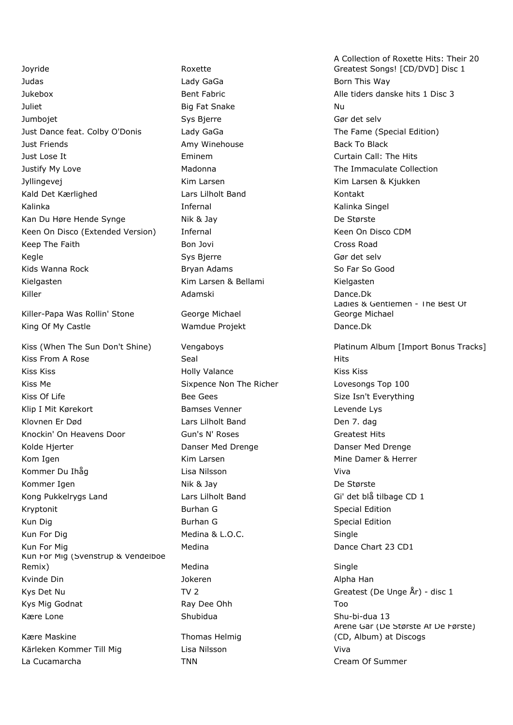Joyride Roxette Judas Lady GaGa Born This Way Jukebox Bent Fabric Alle tiders danske hits 1 Disc 3 Juliet Big Fat Snake Nu Jumbojet Sys Bjerre Gør det selv Just Dance feat. Colby O'Donis Lady GaGa The Fame (Special Edition) Just Friends **Amy Winehouse** Back To Black To Black Just Lose It Eminem Curtain Call: The Hits Justify My Love **Madonna** Madonna The Immaculate Collection Jyllingevej Kim Larsen Kim Larsen & Kjukken Kald Det Kærlighed **Lars Lilholt Band** Kontakt Kalinka **Infernal** Infernal Charles Kalinka Singel Kan Du Høre Hende Synge Nik & Jay De Største Keen On Disco (Extended Version) Infernal Network Channel Keen On Disco CDM Keep The Faith **Bon Jovi Cross Road** Cross Road Cross Road Kegle Sys Bierre System System System System System System System System System System System System System System System System System System System System System System System System System System System System System Sy Kids Wanna Rock **Bryan Adams** Bryan Adams So Far So Good Kielgasten Kim Larsen & Bellami Kielgasten Kielgasten Kielgasten Kielgasten Kielgasten Kielgasten Kielgasten K Killer Adamski Dance.Dk

Killer-Papa Was Rollin' Stone George Michael King Of My Castle The Mamdue Projekt The Dance.Dk

Kiss From A Rose Seal Seal Hits Kiss Kiss Holly Valance Kiss Kiss Kiss Me **Sixpence Non The Richer** Lovesongs Top 100 Kiss Of Life Secretary of the Beed Gees Size Isn't Everything Size Isn't Everything Klip I Mit Kørekort **Bamses Venner** Levende Lys Klovnen Er Død **Lars Lilholt Band** Lars Lilholt Band Lars Lilholt Band Lars Lilholt Band Lars Den 7. dag Knockin' On Heavens Door Gun's N' Roses Greatest Hits Greatest Hits Kolde Hjerter The Collection Control Danser Med Drenge Collection Danser Med Drenge Danser Med Drenge Kom Igen Nietzum der Kim Larsen Mine Damer & Herrer Kommer Du Ihåg Lisa Nilsson Viva Kommer Igen Nik & Jay De Største Kong Pukkelrygs Land Lars Lilholt Band Gi' det blå tilbage CD 1 **Kryptonit Burhan G** Special Edition **Burhan G** Special Edition Kun Dig Burhan G Special Edition Communication Special Edition Kun For Dig Network Controller Medina & L.O.C. Single Kun For Mig Medina Medina Dance Chart 23 CD1 Kun For Mig (Svenstrup & Vendelboe Remix) Medina Single Kvinde Din and Townston and Jokeren and The Communist Alpha Han Kys Det Nu Communication Communication Communication Communication Createst (De Unge  $\AA$ r) - disc 1 Kys Mig Godnat Too Ray Dee Ohh Too Ray Dee Ohh Too Kære Lone **Shuman** Shubidua Shu-bi-dua 13

Kære Maskine Thomas Helmig Kärleken Kommer Till Mig and Lisa Nilsson and Viva La Cucamarcha **TNN** TNN Cream Of Summer

A Collection of Roxette Hits: Their 20 Greatest Songs! [CD/DVD] Disc 1 Ladies & Gentlemen - The Best Of George Michael Kiss (When The Sun Don't Shine) Vengaboys **Platinum Album [Import Bonus Tracks**] Årene Går (De Største Af De Første) (CD, Album) at Discogs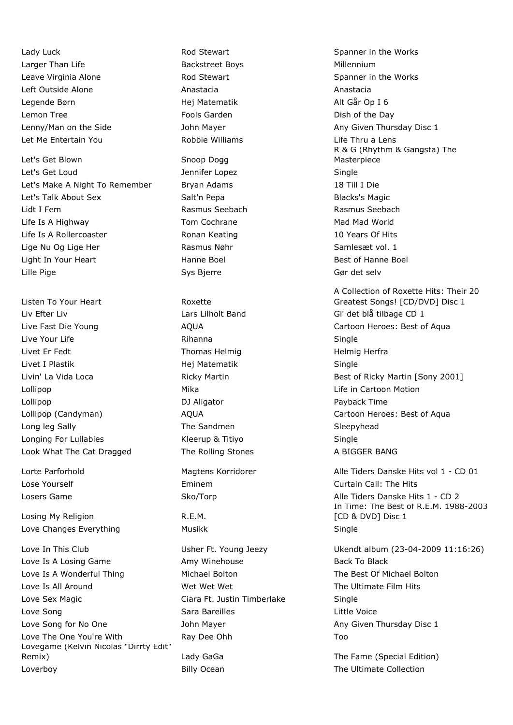Larger Than Life **Backstreet Boys** Backstreet Boys **Millennium** Leave Virginia Alone **Rod Stewart** Along Spanner in the Works Left Outside Alone **Anastacia** Anastacia Anastacia Anastacia Legende Børn Hej Matematik Alt Går Op I 6 Lemon Tree **Example 2** Fools Garden **Constructs** Dish of the Day Let Me Entertain You Robbie Williams Life Thru a Lens

Let's Get Blown Snoop Dogg Let's Get Loud Jennifer Lopez Single Let's Make A Night To Remember Bryan Adams 18 Till I Die Let's Talk About Sex Talk About Sex Salt'n Pepa Salto Blacks's Magic Lidt I Fem Rasmus Seebach Rasmus Seebach Life Is A Highway **Tom Cochrane** Mad Mad World Mad World Life Is A Rollercoaster The Ronan Keating The Constanting The Second Vears Of Hits Lige Nu Og Lige Her The Rasmus Nøhr Samlesæt vol. 1 Light In Your Heart **Hanne Boel** Hanne Boel **Best of Hanne Boel** Lille Pige Sys Bjerre Gør det selv

Listen To Your Heart **Roxette** Liv Efter Liv Lars Lilholt Band Gi' det blå tilbage CD 1 Live Your Life **Single Single Rihanna** Single Rihanna Single Single Livet Er Fedt **Thomas Helmig Helmig Helmig Herfra** Livet I Plastik Hej Matematik Single Lollipop Mika Life in Cartoon Motion Lollipop **DJ Aligator Payback Time** Long leg Sally **Sleepyhead** The Sandmen Sleepyhead Sleepyhead Longing For Lullabies Kleerup & Titiyo Single Look What The Cat Dragged The Rolling Stones A BIGGER BANG

Losing My Religion **R.E.M.** Love Changes Everything The Musikk Nussea Single

Love Is A Losing Game **Amy Minehouse** Amy Winehouse **Back To Black** Black Love Is A Wonderful Thing The Michael Bolton The Best Of Michael Bolton Coverage Control of Michael Bolton The Best Of Michael Bolton Love Is All Around The Ultimate Film Hits Wet Wet Wet Wet The Ultimate Film Hits Love Sex Magic Ciara Ft. Justin Timberlake Single Love Song **Sara Bareilles** Little Voice Little Voice Little Voice Love Song for No One **South Any Contact Any Any Given Thursday Disc 1** Any Given Thursday Disc 1 Love The One You're With Ray Dee Ohh Too Lovegame (Kelvin Nicolas "Dirrty Edit" Remix) **Remix** Lady GaGa The Fame (Special Edition) Loverboy **Example 2** Billy Ocean The Ultimate Collection

Lady Luck **Rod Stewart** Rod Stewart **Rod Stewart** Spanner in the Works Lenny/Man on the Side **Shareh And Strutter And Strutter Any Given Thursday Disc 1** behandled a global Disc 1 R & G (Rhythm & Gangsta) The Masterpiece

A Collection of Roxette Hits: Their 20 Greatest Songs! [CD/DVD] Disc 1 Live Fast Die Young AQUA Cartoon Heroes: Best of Aqua Livin' La Vida Loca **Ricky Martin** Best of Ricky Martin **Best of Ricky Martin [Sony 2001**] Lollipop (Candyman) AQUA Cartoon Heroes: Best of Aqua

Lorte Parforhold **Magtens Korridorer** Alle Tiders Danske Hits vol 1 - CD 01 Lose Yourself Eminem Curtain Call: The Hits Losers Game The Sko/Torp Control Alle Tiders Danske Hits 1 - CD 2 In Time: The Best of R.E.M. 1988-2003 [CD & DVD] Disc 1

Love In This Club Usher Ft. Young Jeezy Ukendt album (23-04-2009 11:16:26)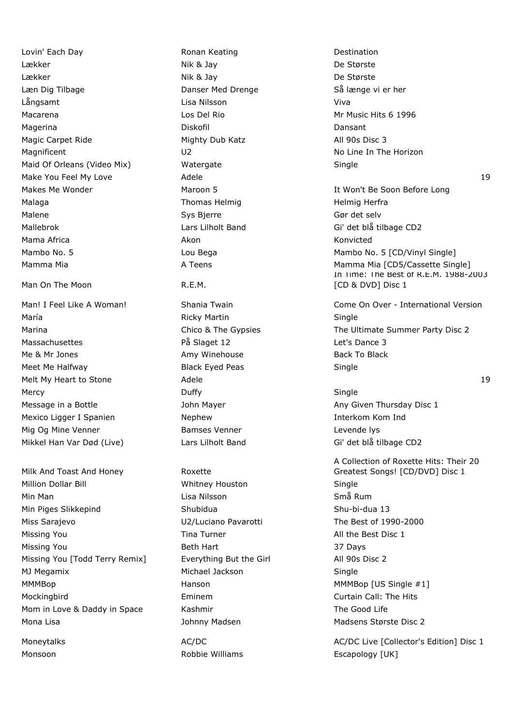Lovin' Each Day **Ronan Keating** Destination Lækker Nik & Jay De Største Lækker Nik & Jay De Største Læn Dig Tilbage The Danser Med Drenge Så længe vi er her Långsamt Lisa Nilsson Viva Macarena **Macarena** Los Del Rio Mr Music Hits 6 1996 Magerina Diskofil Dansant Magic Carpet Ride Mighty Dub Katz All 90s Disc 3 Magnificent **No Line In The Horizon** U2 No Line In The Horizon Maid Of Orleans (Video Mix) Watergate Single Make You Feel My Love **Adele** 19 Adele 19 Adele 19 Adele 19 Adele 19 Adele 19 Adele 19 Adele 19 Adele 19 Adele 19 Adele 19 Adele 19 Adele 19 Adele 19 Adele 19 Adele 19 Adele 19 Adele 19 Adele 19 Adele 19 Adele 19 Adele 19 Malaga **Thomas Helmig Herfra** Helmig Herfra Malene Sys Bierre Gør det selv Mallebrok Lars Lilholt Band Gi' det blå tilbage CD2 Mama Africa **Akon** Akon Akon **Akon** Akon Konvicted Man On The Moon New York R.E.M.

María **Martin Single Martin Single Single** Ricky Martin Single Massachusettes På Slaget 12 Let's Dance 3 Me & Mr Jones **Amy Winehouse** Amy Winehouse Back To Black Meet Me Halfway **Black Eyed Peas** Single Melt My Heart to Stone **Adele** 19 Adele 19 Adele 19 Adele 19 Adele 19 Adele 19 Adele 19 Adele 19 Adele 19 Adele 19 Adele 19 Adele 19 Adele 19 Adele 19 Adele 19 Adele 19 Adele 19 Adele 19 Adele 19 Adele 19 Adele 19 Adele 19 Mercy Single Single Single Single Single Single Message in a Bottle **Any Clubst Communist Communist Communist Communist Communist Communist Communist Communist Communist Communist Communist Communist Communist Communist Communist Communist Communist Communist Communist** Mexico Ligger I Spanien **Nephew Nephew Interkom Kom Indertity** Mig Og Mine Venner The Bamses Venner The Levende lys Mikkel Han Var Død (Live) Lars Lilholt Band Gi' det blå tilbage CD2

Milk And Toast And Honey Roxette Million Dollar Bill Whitney Houston Single Min Man Lisa Nilsson Små Rum Min Piges Slikkepind Shubidua Shu-bi-dua 13 Miss Sarajevo U2/Luciano Pavarotti The Best of 1990-2000 Missing You **Tima Turner** All the Best Disc 1 Missing You **Beth Hart Beth Hart** 37 Days Missing You [Todd Terry Remix] **Everything But the Girl Missing You [Todd Terry Remix]** Everything But the Girl MJ Megamix Michael Jackson Single MMMBop **MMMBop** Hanson Hanson MMMBop [US Single #1] Mockingbird Eminem Curtain Call: The Hits Mom in Love & Daddy in Space Kashmir The Good Life Mona Lisa **Madsen Madsen** Johnny Madsen Madsen Madsens Største Disc 2

Makes Me Wonder **Maroon 5** Maroon 5 It Won't Be Soon Before Long Mambo No. 5 **Mambo No. 5** Lou Bega Mambo No. 5 [CD/Vinyl Single] Mamma Mia **Mamma Mia A Teens** A Teens Mamma Mia [CD5/Cassette Single] In Time: The Best of R.E.M. 1988-2003 [CD & DVD] Disc 1

Man! I Feel Like A Woman! Shania Twain Come On Over - International Version Marina Marina Chico & The Gypsies The Ultimate Summer Party Disc 2

A Collection of Roxette Hits: Their 20 Greatest Songs! [CD/DVD] Disc 1

Moneytalks **AC/DC** AC/DC AC/DC AC/DC AC/DC AC/DC Live [Collector's Edition] Disc 1 Monsoon **Escapology** [UK] Robbie Williams **Escapology** [UK]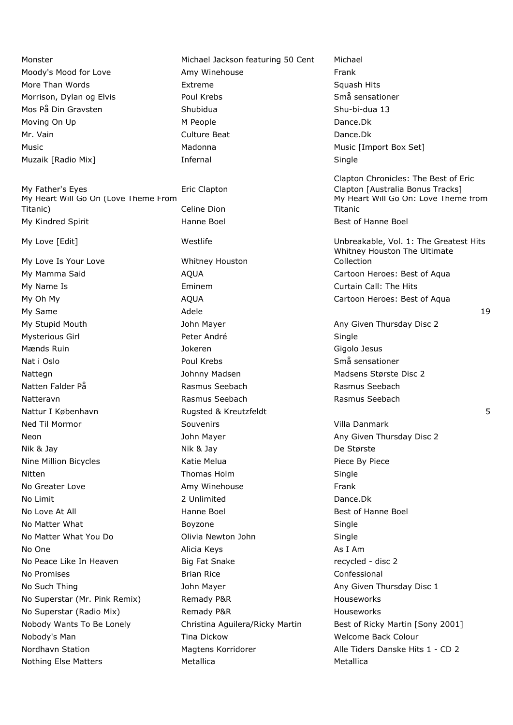My Father's Eyes **Example 20 Find Clapton** My Heart Will Go On (Love Theme From Titanic) Celine Dion My Kindred Spirit **Hanne Boel** Hanne Boel Best of Hanne Boel

My Love Is Your Love Whitney Houston No Greater Love **Amy Winehouse Amy Winehouse** Frank No Limit **2** Unlimited Dance.Dk No Love At All **Hanne Boel** Hanne Boel **Best of Hanne Boel** No Matter What **Boyzone Single** Single No Matter What You Do Olivia Newton John Single No One and Alicia Keys and Alicia Keys and As I Am No Peace Like In Heaven **Big Fat Snake** Face Controller and the recycled - disc 2 No Promises **Brian Rice Brian Rice Confessional** No Superstar (Mr. Pink Remix) Remady P&R Houseworks No Superstar (Radio Mix) Remady P&R Forms and Houseworks Nobody's Man Tina Dickow The University Melcome Back Colour Nothing Else Matters **Metallica** Metallica Metallica

Monster Michael Jackson featuring 50 Cent Michael Moody's Mood for Love **Amy Winehouse** Frank More Than Words **Extreme** Extreme Squash Hits Squash Hits Morrison, Dylan og Elvis **Northerman State Boul Krebs** Små sensationer Mos På Din Gravsten Shubidua Shu-bi-dua 13 Moving On Up **M** People **M** People **Dance.Dk** Mr. Vain **Culture Beat** Dance.Dk Music Madonna Music [Import Box Set] Muzaik [Radio Mix] **Infernal** Infernal Single My Name Is **Eminem** Eminem Curtain Call: The Hits My Stupid Mouth **Mayer** John Mayer Any Given Thursday Disc 2 Mysterious Girl **Europe Communist Communist Peter André** Communist Communist Communist Communist Communist Communist Communist Communist Communist Communist Communist Communist Communist Communist Communist Communist Commu Mænds Ruin Jokeren Gigolo Jesus Nat i Oslo Poul Krebs Små sensationer Nattegn Johnny Madsen Madsen Madsens Største Disc 2 Natten Falder På **Rasmus Seebach** Rasmus Seebach Rasmus Seebach Natteravn Rasmus Seebach Rasmus Seebach Ned Til Mormor Souvenirs Villa Danmark Neon **Network Constructs** 2 John Mayer Any Given Thursday Disc 2 Nik & Jay Nik & Jay De Største Nine Million Bicycles **Nine Action Contains Active Melua** Piece By Piece By Piece Nitten **Thomas Holm** Single Single

Clapton Chronicles: The Best of Eric Clapton [Australia Bonus Tracks] My Heart Will Go On: Love Theme from Titanic My Love [Edit] Westlife Unbreakable, Vol. 1: The Greatest Hits Whitney Houston The Ultimate Collection My Mamma Said **AQUA** AQUA Cartoon Heroes: Best of Aqua My Oh My **AQUA** AQUA Cartoon Heroes: Best of Aqua My Same Adele 19 Nattur I København Sammen av Statted Breutzfeldt Statter i Rugsted & Kreutzfeldt Statter i Rugsted & Statter S No Such Thing Thing Any Given Thursday Disc 1 Nobody Wants To Be Lonely Christina Aguilera/Ricky Martin Best of Ricky Martin [Sony 2001] Nordhavn Station **Magtens Korridorer** Alle Tiders Danske Hits 1 - CD 2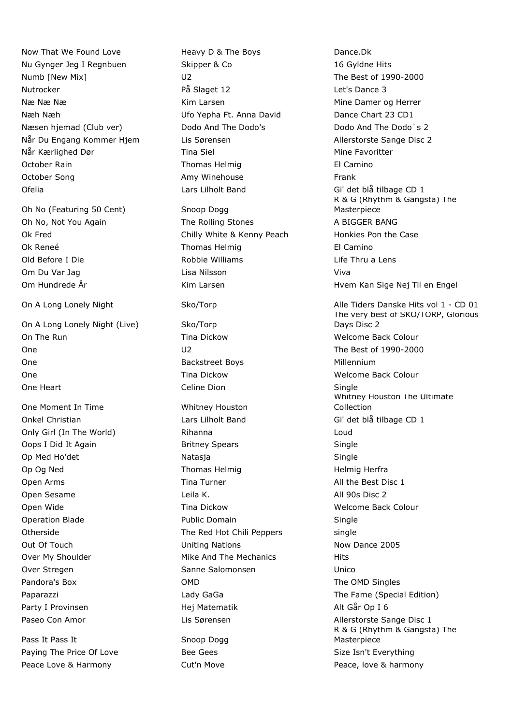Now That We Found Love **Heavy D & The Boys** Dance.Dk Nu Gynger Jeg I Regnbuen Skipper & Co 16 Gyldne Hits Numb [New Mix] COME CONSERVING DEVICES 2000 U2 CONSERVENT DEVICES 1990-2000 Nutrocker and the På Slaget 12 Let's Dance 3 Næ Næ Me Næ Me Næ Mine Damer og Herrer Næh Næh Ufo Yepha Ft. Anna David Dance Chart 23 CD1 Næsen hjemad (Club ver) Dodo And The Dodo's Dodo And The Dodo And The Dodo's 2 Når Du Engang Kommer Hjem Lis Sørensen Allerstorste Sange Disc 2 Når Kærlighed Dør Tina Siel Mine Favoritter October Rain **El Camino Communist Communist Communist Communist Communist Communist Communist Communist Communist Communist Communist Communist Communist Communist Communist Communist Communist Communist Communist Communis** October Song The Control of Amy Winehouse Trank Amy Minehouse Trank Ofelia Lars Lilholt Band Gi' det blå tilbage CD 1

Oh No (Featuring 50 Cent) Snoop Dogg

On A Long Lonely Night (Live) Sko/Torp On The Run North Control Controller Colour Time Dickow Network and Welcome Back Colour One U2 The Best of 1990-2000 One **Backstreet Boys** Backstreet Boys **Millennium** One **Tima Dickow The Dickow** Welcome Back Colour One Heart **Celine Dion** Celine Dion **Single** 

One Moment In Time Whitney Houston

Pass It Pass It Snoop Dogg Paying The Price Of Love **Bee Gees** Beer Size Isn't Everything Peace Love & Harmony **Cut'n Move Peace, love & harmony** 

Oh No, Not You Again The Rolling Stones A BIGGER BANG Ok Fred Chilly White & Kenny Peach Honkies Pon the Case Ok Reneé **Thomas Helmig El Camino** Old Before I Die Robbie Williams Life Thru a Lens Om Du Var Jag Lisa Nilsson Viva

Onkel Christian **Christian** Lars Lilholt Band Gi' det blå tilbage CD 1 Only Girl (In The World) Rihanna Loud Oops I Did It Again **Britney Spears** Single Op Med Ho'det Natasja Natasja Single Op Og Ned Thomas Helmig Herfra Open Arms **Tina Turner** All the Best Disc 1 Open Sesame **Leila K.** All 90s Disc 2 Open Wide **Tima Dickow Tina Dickow** Welcome Back Colour Operation Blade **Public Domain** Single Otherside **The Red Hot Chili Peppers** single Out Of Touch **Now Dance 2005** Uniting Nations Now Dance 2005 Over My Shoulder **Mike And The Mechanics** Hits Over Stregen Sanne Salomonsen Sanne Salomonsen Unico Pandora's Box **COMP** COMD COMD **The OMD** Singles Party I Provinsen **Hej Matematik** Alt Går Op I 6

R & G (Rhythm & Gangsta) The Masterpiece Om Hundrede År Kim Larsen Hvem Kan Sige Nej Til en Engel Hvem Kan Sige Nej Til en Engel On A Long Lonely Night Sko/Torp Alle Tiders Danske Hits vol 1 - CD 01 The very best of SKO/TORP, Glorious Days Disc 2 Whitney Houston The Ultimate Collection Paparazzi **Lady GaGa** The Fame (Special Edition) Contains the Fame (Special Edition) Paseo Con Amor **Lis Sørensen** Lis Sørensen Allerstorste Sange Disc 1 R & G (Rhythm & Gangsta) The Masterpiece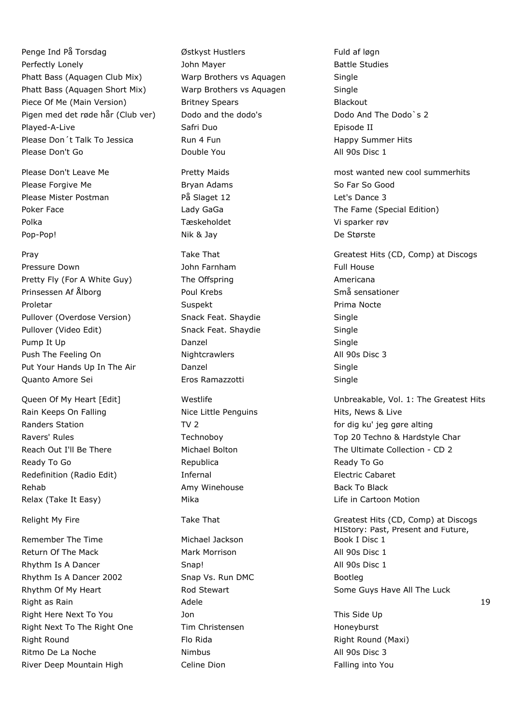Penge Ind På Torsdag **Brund and På Torsdag** Østkyst Hustlers **Fuld af løgn** Perfectly Lonely **Battle Studies** John Mayer **Battle Studies** Battle Studies Phatt Bass (Aquagen Club Mix) Warp Brothers vs Aquagen Single Phatt Bass (Aquagen Short Mix) Warp Brothers vs Aquagen Single Piece Of Me (Main Version) Britney Spears Blackout Pigen med det røde hår (Club ver) Dodo and the dodo's Dodo And The Dodo's 2 Played-A-Live **Safri Duo** Safri Duo **Channel Episode II** Please Don't Talk To Jessica **Run 4 Fundament Container Hits** Happy Summer Hits Please Don't Go **Double You All 90s Disc 1** Double You **All 90s Disc 1** 

Please Forgive Me **Bryan Adams** Bryan Adams So Far So Good Please Mister Postman **På Slaget 12** Passe 12 Let's Dance 3 Polka Tæskeholdet Vi sparker røv Pop-Pop! Nik & Jay De Største

Pressure Down **Full House** John Farnham Full House Full House Pretty Fly (For A White Guy) The Offspring The Structure Americana Prinsessen Af Ålborg North States Book Krebs Smången Små sensationer Proletar **Suspekt Suspekt** Proletar Prima Nocte Pullover (Overdose Version) Snack Feat. Shaydie Single Pullover (Video Edit) Snack Feat. Shaydie Single Pump It Up **Danzel** Single Push The Feeling On **Nightcrawlers** All 90s Disc 3 Put Your Hands Up In The Air **Single Single Single** Single Quanto Amore Sei Eros Ramazzotti Single

Rain Keeps On Falling The Rice Little Penguins The Hits, News & Live Randers Station TV 2 For dig ku' jeg gøre alting Ready To Go **Republica** Republica Ready To Go Ready To Go Ready To Go Ready To Go Ready To Go Redefinition (Radio Edit) **Infernal** Infernal Electric Cabaret Rehab **Amy Winehouse** Back To Black To Black To Black To Black Relax (Take It Easy) The Mika Life in Cartoon Motion Motion And Life in Cartoon Motion

Remember The Time Michael Jackson Return Of The Mack Mark Morrison Mark Morrison All 90s Disc 1 Rhythm Is A Dancer **Shape Shape Shape Shape Shape Shape All 90s Disc 1** Rhythm Is A Dancer 2002 Snap Vs. Run DMC Bootleg Right as Rain and the Communication of Adele 19, and the Communication of the Communication of the Communication of the Communication of the Communication of the Communication of the Communication of the Communication of t Right Here Next To You **Share To Side Up Side Up** This Side Up Right Next To The Right One Tim Christensen The Theory Honeyburst Right Round **Flo Rida** Flo Rida Right Round (Maxi) Ritmo De La Noche **Nimbus** All 90s Disc 3 River Deep Mountain High Celine Dion Falling into You

Please Don't Leave Me **Pretty Maids** most wanted new cool summerhits Poker Face **The Face Contract Contract Contract Contract Contract Contract Contract Contract Contract Contract Contract Contract Contract Contract Contract Contract Contract Contract Contract Contract Contract Contract Con** Pray Take That Greatest Hits (CD, Comp) at Discogs Greatest Hits (CD, Comp) at Discogs

Queen Of My Heart [Edit] The Unit of My Heart Integration of My Heart Integration of My Heart Integration of M Ravers' Rules Technoboy Technoboy Techno & Hardstyle Char Reach Out I'll Be There The Michael Bolton The Ultimate Collection - CD 2

Relight My Fire Take That Take That Greatest Hits (CD, Comp) at Discogs HIStory: Past, Present and Future, Book I Disc 1 Rhythm Of My Heart **Rod Stewart** Rod Stewart Some Guys Have All The Luck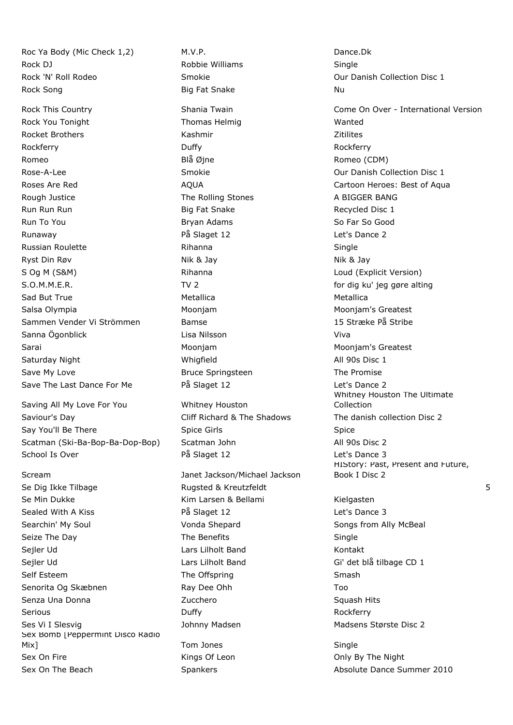Roc Ya Body (Mic Check 1,2) M.V.P. M.V.P. Rock DJ **Robbie Williams** Single Rock 'N' Roll Rodeo **Smokie** Smokie Collection Disc 1 Rock Song **Big Fat Snake** Nu Rock Song Nu

Rock You Tonight Thomas Helmig Wanted Rocket Brothers **Mathematic Exception Control** Kashmir Mathematic Control Activities Rockferry Duffy Rockferry Romeo Blå Øjne Romeo (CDM) Rose-A-Lee **Smokie Collection Disc 1** Smokie **Collection Disc 1** Our Danish Collection Disc 1 Rough Justice The Rolling Stones A BIGGER BANG Run Run Run Big Fat Snake Recycled Disc 1 Run To You **Bryan Adams** Bryan Adams So Far So Good Runaway **På Slaget 12** Current Marshall Passet 12 Let's Dance 2 Russian Roulette **Rihanna** Rihanna Single Ryst Din Røv **Nik & Jay Nik & Jay Nik & Jay Nik & Jay Nik & Jay** Nik & Jay Nik & Jay Nik & Jay Nik & Jay Nik & Jay S Og M (S&M) **Rihanna** Rihanna Loud (Explicit Version) S.O.M.M.E.R. TV 2 for dig ku' jeg gøre alting Sad But True **Metallica** Metallica Metallica Metallica Salsa Olympia **Moonjam** Moonjam Moonjam Moonjam Moonjam Moonjam's Greatest Sammen Vender Vi Strömmen Bamse 15 Stræke På Stribe Sanna Ögonblick Lisa Nilsson Viva Sarai Moonjam Moonjam's Greatest Saturday Night **All 90s Disc 1** and Monomial Multiple Minister Multiple All 90s Disc 1 Save My Love **Bruce Springsteen** The Promise Save The Last Dance For Me **På Slaget 12** det's Dance 2

Saving All My Love For You Whitney Houston Saviour's Day **Saviour's Day** Cliff Richard & The Shadows The danish collection Disc 2 Say You'll Be There **Spice Girls** Spice Girls Spice Spice Spice Spice Spice Spice Spice Scatman (Ski-Ba-Bop-Ba-Dop-Bop) Scatman John All 90s Disc 2 School Is Over **På Slaget 12** Passet 12 Let's Dance 3

Scream Janet Jackson/Michael Jackson Se Dig Ikke Tilbage Rugsted & Kreutzfeldt 5 Se Min Dukke Kim Larsen & Bellami Kielgasten Kielgasten Sealed With A Kiss **På Slaget 12** Case of the Sance 3 Searchin' My Soul **Soul** Songs from Ally McBeal Vonda Shepard Songs from Ally McBeal Seize The Day **Seize The Day** The Benefits Single Sejler Ud Lars Lilholt Band Kontakt Sejler Ud Lars Lilholt Band Gi' det blå tilbage CD 1 Self Esteem The Offspring Smash Smash Senorita Og Skæbnen Ray Dee Ohh Too Senza Una Donna **Santa Caractero State Caractero State Caracter** Squash Hits Serious Rockferry Rockferry Duffy Rockferry Rockferry Rockferry Ses Vi I Slesvig The State of School Johnny Madsen Madsen Madsens Største Disc 2 Sex Bomb [Peppermint Disco Radio Mix] Mix and Miximum Single Single Single Single Single Sex On Fire **Kings Of Leon** Communication Conly By The Night Sex On The Beach Spankers Spankers Absolute Dance Summer 2010

Rock This Country **Shania Twain** Come On Over - International Version Come On Over - International Version Roses Are Red **AQUA** Cartoon Heroes: Best of Aqua Whitney Houston The Ultimate Collection HIStory: Past, Present and Future, Book I Disc 2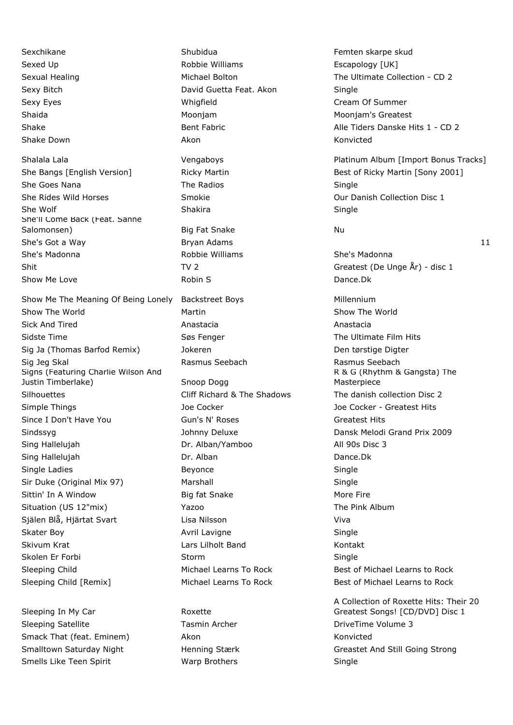She Goes Nana The Radios Single She Rides Wild Horses Smokie Collection Disc 1 She Wolf Shakira Shakira Shakira Shakira Single She'll Come Back (Feat. Sanne Salomonsen) and Big Fat Snake Nu Nu She's Got a Way **Bryan Adams** Bryan Adams 11 She's Madonna Robbie Williams She's Madonna Shit Shit TV 2 TV 2 Greatest (De Unge  $\hat{A}$ r) - disc 1

Show The World **Show The World** Martin Show The World Show The World Sick And Tired Anastacia Anastacia Sidste Time **Søs Fenger** Søs Fenger The Ultimate Film Hits Sig Ja (Thomas Barfod Remix) digter and Jokeren and Den tørstige Digter Sig Jeg Skal Rasmus Seebach Rasmus Seebach Signs (Featuring Charlie Wilson And Justin Timberlake) Snoop Dogg Silhouettes **Cliff Richard & The Shadows** The danish collection Disc 2 Simple Things Things The Cocker Joe Cocker Hits Assembly Cocker - Greatest Hits Since I Don't Have You **Gun's N' Roses** Greatest Hits Greatest Hits Sindssyg **Sindssyg Community Community** Johnny Deluxe Dansk Melodi Grand Prix 2009 Sing Hallelujah Dr. Alban/Yamboo All 90s Disc 3 Sing Hallelujah Dr. Alban Dr. Alban Dance.Dk Single Ladies **Beyonce** Beyonce **Single** Beyonce **Single** Sir Duke (Original Mix 97) Marshall Single Single Sittin' In A Window **Big fat Snake** More Fire Situation (US 12"mix) **The Pink Album** Yazoo **The Pink Album** Själen Blå, Hjärtat Svart Lisa Nilsson Viva Skater Boy **Skater Boy Avril Lavigne** Single Skivum Krat Lars Lilholt Band Kontakt Skolen Er Forbi Storm Storm Storm Single Sleeping Child **Michael Learns To Rock** Best of Michael Learns to Rock Sleeping Child [Remix] Michael Learns To Rock Best of Michael Learns to Rock

Sleeping In My Car Roxette Sleeping Satellite Tasmin Archer Tasmin Archer DriveTime Volume 3 Smack That (feat. Eminem) Akon Akon Konvicted Smells Like Teen Spirit **Single Show Warp Brothers** Single Single

Sexchikane Shubidua Shubidua Femten skarpe skud Sexed Up **Robbie Williams** Escapology [UK] Sexy Bitch **David Guetta Feat. Akon** Single Sexy Eyes **Sexy Eyes Cream Of Summer Cream Of Summer Cream Of Summer** Shaida Moonjam Moonjam's Greatest Shake Down **Akon** Akon Akon Konvicted Show Me Love **Robin S** Robin S **Dance.Dk Dance.Dk** Show Me The Meaning Of Being Lonely Backstreet Boys The Millennium

Sexual Healing The Ultimate Collection - CD 2 Shake Shake Bent Fabric Bent Fabric Alle Tiders Danske Hits 1 - CD 2

Shalala Lala **Vengaboys** Platinum Album [Import Bonus Tracks] Platinum Album [Import Bonus Tracks] She Bangs [English Version] Ricky Martin Best of Ricky Martin [Sony 2001]

R & G (Rhythm & Gangsta) The Masterpiece

A Collection of Roxette Hits: Their 20 Greatest Songs! [CD/DVD] Disc 1 Smalltown Saturday Night **Henning Stærk Greastet And Still Going Strong** Strong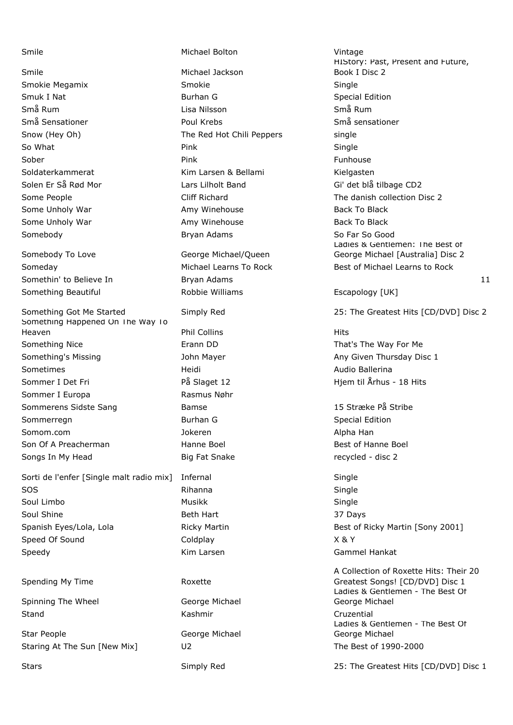Smile Michael Jackson

Somebody To Love George Michael/Queen

Something Happened On The Way To Heaven Phil Collins Hits Something Nice **Erann DD** Erann DD That's The Way For Me Something's Missing Thursday Disc 1 John Mayer Any Given Thursday Disc 1 Sometimes **Material Audio Ballerina** Heidi **Audio Ballerina** Audio Ballerina Sommer I Det Fri **Example 2** På Slaget 12 Hjem til Århus - 18 Hits Sommer I Europa Rasmus Nøhr Sommerens Sidste Sang Bamse Bamse 15 Stræke På Stribe Sommerregn Burhan G Special Edition Somom.com Jokeren Alpha Han Son Of A Preacherman **Example 2** Hanne Boel **Best of Hanne Boel** Best of Hanne Boel Songs In My Head **Big Fat Snake** Fat Snake recycled - disc 2

Sorti de l'enfer [Single malt radio mix] Infernal Sorti de l'enfer SOS Rihanna Single Soul Limbo **Musikk** Single Single Soul Shine **Beth Hart** Beth Hart 37 Days Spanish Eyes/Lola, Lola **Ricky Martin Best of Ricky Martin [Sony 2001**] Speed Of Sound and Coldplay Coldplay Cold Cold Cold at  $X \& Y$ Speedy **Speedy Kim Larsen** Gammel Hankat

Spending My Time Roxette

Spinning The Wheel George Michael Stand Cruzential Cruzential Cruzential Cruzential Cruzential

Star People George Michael Staring At The Sun [New Mix] U2 U2 The Best of 1990-2000

Smile **Michael Bolton** Michael Bolton **Vintage** Smokie Megamix Smokie Single Smuk I Nat **Burhan G** Smuk I Nat Burhan G Special Edition Små Rum Lisa Nilsson Små Rum Små Sensationer Poul Krebs Små sensationer Snow (Hey Oh) The Red Hot Chili Peppers single So What Pink Single Sober Pink Funhouse Soldaterkammerat Kim Larsen & Bellami Kielgasten Solen Er Så Rød Mor Controlle Lars Lilholt Band Collection Gi' det blå tilbage CD2 Some Unholy War **Amy Winehouse** Back To Black To Black Some Unholy War **Amy Winehouse** Back To Black To Black Somebody **Bryan Adams** Bryan Adams So Far So Good

Somethin' to Believe In The Bryan Adams 11 and the Bryan Adams 11 and the Bryan Adams 11 Something Beautiful **Robbie Williams** Escapology [UK]

HIStory: Past, Present and Future, Book I Disc 2 Some People **Supering Cliff Richard** Cliff Richard The danish collection Disc 2 Ladies & Gentlemen: The Best of George Michael [Australia] Disc 2 Someday **Michael Learns To Rock** Best of Michael Learns to Rock

Something Got Me Started Simply Red 25: The Greatest Hits [CD/DVD] Disc 2

A Collection of Roxette Hits: Their 20 Greatest Songs! [CD/DVD] Disc 1 Ladies & Gentlemen - The Best Of George Michael Ladies & Gentlemen - The Best Of George Michael

Stars Stars Simply Red 25: The Greatest Hits [CD/DVD] Disc 1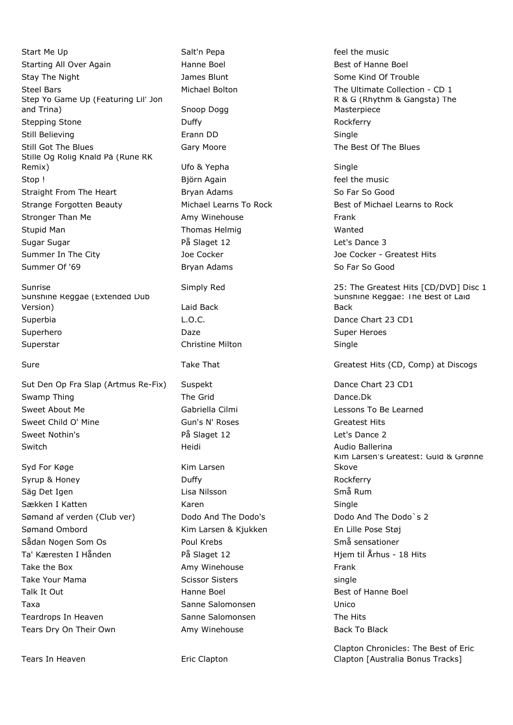Start Me Up **Salt'n Pepa Salt'n Pepa Feel the music** feel the music Starting All Over Again The Hanne Boel The Boel Best of Hanne Boel Best of Hanne Boel Stay The Night Stay The Night James Blunt Some Kind Of Trouble Steel Bars **Michael Bolton** The Ultimate Collection - CD 1 Step Yo Game Up (Featuring Lil' Jon and Trina) Snoop Dogg Stepping Stone **Duffy Containers** Duffy **Containers Rockferry** Still Believing **Erann DD** Single Still Got The Blues **Gary Moore** Gary Moore **The Best Of The Blues** Still Got The Blues Stille Og Rolig Knald På (Rune RK Remix) Channel Communication Communication Channel Ufo & Yepha Single Single Stop ! Stop ! Sign Björn Again **Feel the music** is the music Straight From The Heart **Bryan Adams** Bryan Adams So Far So Good Strange Forgotten Beauty Michael Learns To Rock Best of Michael Learns to Rock Stronger Than Me **Amy Winehouse** Frank Stupid Man Nature 2012 12:30 Thomas Helmig Nature 2012 12:30 Wanted Sugar Sugar På Slaget 12 Let's Dance 3 Summer In The City **Summer In The City** Joe Cocker Joe Cocker - Greatest Hits Summer Of '69 Bryan Adams So Far So Good

Sunshine Reggae (Extended Dub Version) Laid Back Superbia **L.O.C. C. C.C. C. C.C. C.C. C.C. C.C. C.C. C.C. C.C. C.C. C.C. C.C. C.C. C.C. C.C. C.C. C.C. C.C. C.C. C.C. C.C. C.C. C.C. C.C. C.C. C.C. C.C. C.C. C.C.** Superhero **Super Heroes** Daze **Daze Contract Contract Contract Contract Contract Contract Contract Contract Contract Contract Contract Contract Contract Contract Contract Contract Contract Contract Contract Contract Cont** Superstar **Christine Milton** Christine Milton **Single** 

Sut Den Op Fra Slap (Artmus Re-Fix) Suspekt Dance Chart 23 CD1 Swamp Thing The Grid The Grid Dance.Dk Sweet About Me Gabriella Cilmi Lessons To Be Learned Sweet Child O' Mine Gun's N' Roses Greatest Hits Greatest Hits Sweet Nothin's The Communication of the Slaget 12 Let's Dance 2 Switch **Markovich Audio Ballerina** Heidi **Heidi** Audio Ballerina

Syd For Køge Kim Larsen Syrup & Honey **Business Control** Duffy **Rockferry** Rockferry Säg Det Igen Lisa Nilsson Små Rum Sækken I Katten Martin (\* 1918)<br>Nordisk karen Single Single Sømand af verden (Club ver) Dodo And The Dodo's Dodo And The Dodo`s 2 Sømand Ombord Kim Larsen & Kjukken En Lille Pose Støj Sådan Nogen Som Os Som Boul Krebs Som Somå sensationer Ta' Kæresten I Hånden **På Slaget 12** Hjem til Århus - 18 Hits Take the Box **Amy Winehouse** Frank Take Your Mama Scissor Sisters Scissor Sisters and Science of the Science of the Science of the Science of the S Talk It Out **Hanne Boel** Hanne Boel **Best of Hanne Boel** Taxa Sanne Salomonsen Unico Teardrops In Heaven The Sanne Salomonsen The Hits Care The Hits Tears Dry On Their Own **Amy Winehouse** Back To Black To Black

Tears In Heaven **Example 20** Eric Clapton

R & G (Rhythm & Gangsta) The Masterpiece

Sunrise Simply Red 25: The Greatest Hits [CD/DVD] Disc 1 Sunshine Reggae: The Best of Laid Back

Sure Take That Greatest Hits (CD, Comp) at Discogs Greatest Hits (CD, Comp) at Discogs

Kim Larsen's Greatest: Guld & Grønne Skove

Clapton Chronicles: The Best of Eric Clapton [Australia Bonus Tracks]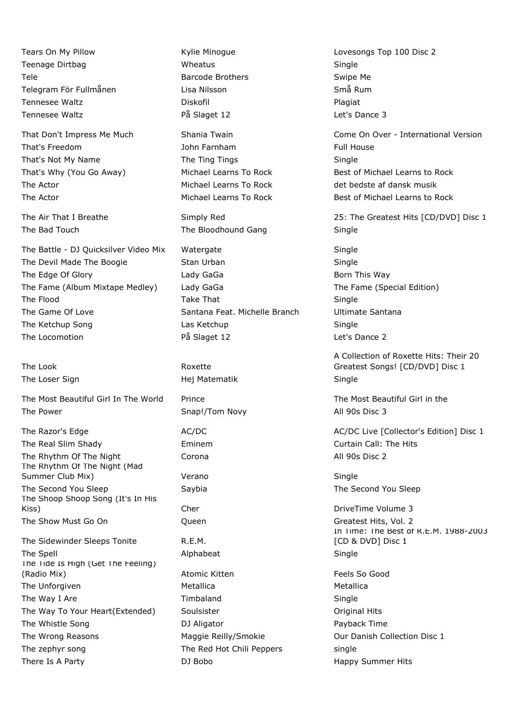Teenage Dirtbag November 2012 - Wheatus November 2013 - Single Tele **Barcode Brothers Barcode Brothers** Swipe Me Telegram För Fullmånen Lisa Nilsson Små Rum Tennesee Waltz **Diskofil** Diskofil **Plagiat** Plagiat Tennesee Waltz **På Slaget 12** det's Dance 3

That's Freedom John Farnham Full House That's Not My Name The Ting Tings The Ting Tings Single The Actor **Michael Learns To Rock** det bedste af dansk musik

The Battle - DJ Quicksilver Video Mix Watergate Single The Devil Made The Boogie Stan Urban Single Single The Edge Of Glory **State Acids** Lady GaGa **Born This Way** The Fame (Album Mixtape Medley) Lady GaGa The Fame (Special Edition) The Flood **Take That Single Single** Single The Game Of Love Santana Feat. Michelle Branch Ultimate Santana The Ketchup Song The Ketchup Cas Ketchup Single The Locomotion **På Slaget 12** Passet 12 Let's Dance 2

The Look **Roxette** The Loser Sign The Loser Sign According the Hej Matematik Single

The Most Beautiful Girl In The World Prince The Most Beautiful Girl in the Most Beautiful Girl in the The Power Snap!/Tom Novy All 90s Disc 3

The Real Slim Shady **Eminem** Eminem Curtain Call: The Hits The Rhythm Of The Night Corona **Corona** Corona All 90s Disc 2 The Rhythm Of The Night (Mad Summer Club Mix) **Summer Club Mix** verano **Single** Single The Second You Sleep Saybia Saybia Saybia The Second You Sleep The Shoop Shoop Song (It's In His Kiss) Cher Cher Cher DriveTime Volume 3 The Show Must Go On **Cueen** Greatest Hits, Vol. 2

The Sidewinder Sleeps Tonite **R.E.M.** The Spell **Alphabeat** Alphabeat **Single** The Tide Is High (Get The Feeling) (Radio Mix) **Atomic Kitten** Feels So Good **Atomic Kitten** Feels So Good The Unforgiven and Metallica Metallica metallical metallical metallical metallical metallical metallical metallical metallical metallical metallical metallical metallical metallical metallical metallical metallical metalli Timbaland Single Single Single The Way To Your Heart(Extended) Soulsister Soulsister Soulsister Criginal Hits The Whistle Song The Whistle Song The Whistle Song Payback Time The Wrong Reasons **Maggie Reilly/Smokie** Our Danish Collection Disc 1 The zephyr song The Red Hot Chili Peppers single There Is A Party **There Is A Party Community** DJ Bobo **Happy Summer Hits** 

The Bad Touch The Bloodhound Gang Single

Tears On My Pillow Kylie Minogue Lovesongs Top 100 Disc 2

That Don't Impress Me Much Shania Twain Come On Over - International Version That's Why (You Go Away) Michael Learns To Rock Best of Michael Learns to Rock The Actor **Michael Learns To Rock** Best of Michael Learns to Rock

The Air That I Breathe Simply Red 25: The Greatest Hits [CD/DVD] Disc 1

A Collection of Roxette Hits: Their 20 Greatest Songs! [CD/DVD] Disc 1

The Razor's Edge The AC/DC AC/DC AC/DC AC/DC Live [Collector's Edition] Disc 1

In Time: The Best of R.E.M. 1988-2003 [CD & DVD] Disc 1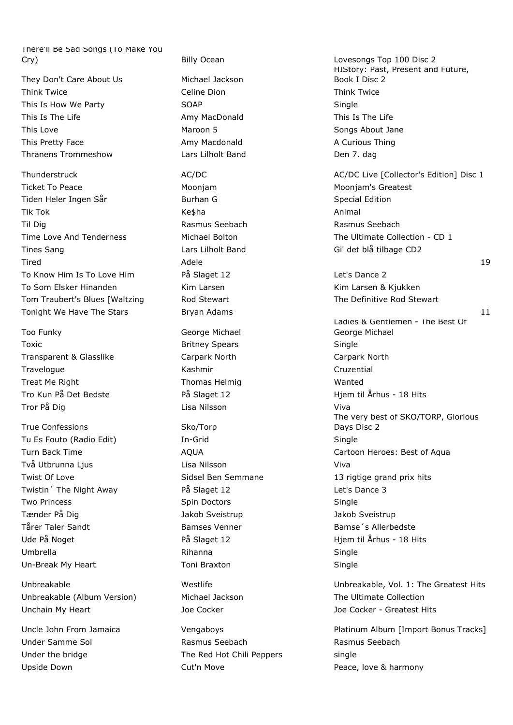There'll Be Sad Songs (To Make You Cry) Billy Ocean Lovesongs Top 100 Disc 2

They Don't Care About Us Michael Jackson Think Twice **The Celine Dion** Celine Dion **Think Twice** Think Twice This Is How We Party **SOAP** SOAP Single This Is The Life **Amy MacDonald** This Is The Life Amy MacDonald This Love **Maroon 5** Maroon 5 Songs About Jane This Pretty Face **Amy Macdonald** Amy Macdonald A Curious Thing Thranens Trommeshow Lars Lilholt Band Den 7. dag

Ticket To Peace Moonjam Moonjam's Greatest Tiden Heler Ingen Sår **Burhan G** Special Edition Tik Tok Ke\$ha Animal Til Dig Rasmus Seebach Rasmus Seebach Time Love And Tenderness The Ultimate Collection - CD 1 Tines Sang The Sang Lars Lilholt Band Gi' det blå tilbage CD2 To Know Him Is To Love Him **På Slaget 12** en and the Let's Dance 2 To Som Elsker Hinanden Kim Larsen Kim Larsen Kim Larsen & Kjukken Tom Traubert's Blues [Waltzing The Definitive Rod Stewart The Definitive Rod Stewart

Too Funky **George Michael** Toxic **Britney Spears** Single Transparent & Glasslike Carpark North Carpark North Travelogue **Kashmir** Kashmir Cruzential Treat Me Right National Communist Chemical Thomas Helmig National Members Wanted Tror På Dig Lisa Nilsson Viva

True Confessions Sko/Torp Tu Es Fouto (Radio Edit) In-Grid Single Två Utbrunna Ljus Lisa Nilsson Viva Twistin The Night Away **På Slaget 12** Let's Dance 3 Two Princess **Spin Doctors** Single Single Tænder På Dig Jakob Sveistrup Jakob Sveistrup Tårer Taler Sandt **Bamses Venner** Bamses Venner Bamse<sup>r</sup>s Allerbedste Ude På Noget På Slaget 12 Hjem til Århus - 18 Hits Umbrella Rihanna Single Un-Break My Heart **Toni Braxton** Communication Single

Unbreakable (Album Version) Michael Jackson The Ultimate Collection Unchain My Heart Joe Cocker Joe Cocker - Greatest Hits

Under Samme Sol Rasmus Seebach Rasmus Seebach Under the bridge The Red Hot Chili Peppers single Upside Down **Cut'n Move Cution** Cutto **Peace, love & harmony** 

HIStory: Past, Present and Future, Book I Disc 2 Thunderstruck AC/DC AC/DC AC/DC AC/DC AC/DC Live [Collector's Edition] Disc 1 Tired Adele 19 Tonight We Have The Stars **Bryan Adams** 11 **Bryan Adams** 11 Ladies & Gentlemen - The Best Of George Michael Tro Kun På Det Bedste På Slaget 12 Hjem til Århus - 18 Hits The very best of SKO/TORP, Glorious Days Disc 2 Turn Back Time **AQUA** AQUA Cartoon Heroes: Best of Aqua Twist Of Love **Sidsel Ben Semmane** 13 rigtige grand prix hits 16 rights and prix hits

Unbreakable Westlife Unbreakable, Vol. 1: The Greatest Hits

Uncle John From Jamaica **Vengaboys Platinum Album [Import Bonus Tracks]** Platinum Album [Import Bonus Tracks]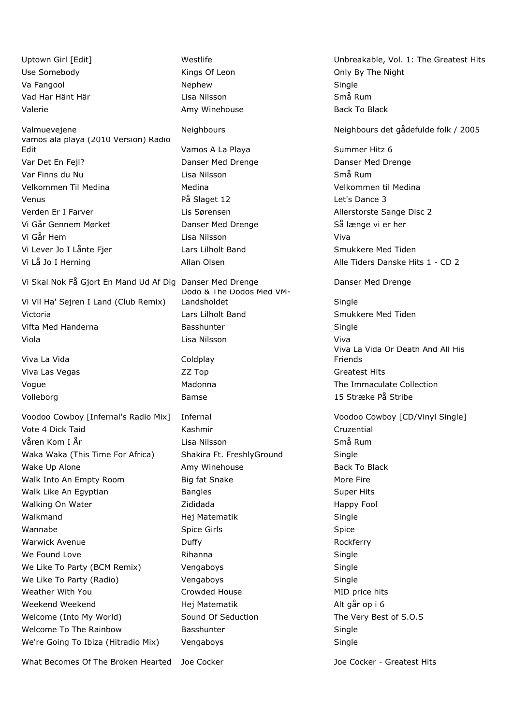Uptown Girl [Edit] The Unbreakable, Vol. 1: The Greatest Hits Use Somebody **Example 2** Kings Of Leon **Constant Conducts** Only By The Night Va Fangool Nephew Nephew Single Vad Har Hänt Här Lisa Nilsson Små Rum Valerie **Amy Winehouse** Back To Black To Black To Black To Black To Black To Black Valmuevejene Neighbours Neighbours det gådefulde folk / 2005 vamos ala playa (2010 Version) Radio Edit **Edit** Community Community Community Vamos A La Playa Community Community Gummer Hitz 6 Var Det En Fejl? Danser Med Drenge Danser Med Drenge Var Finns du Nu Lisa Nilsson Små Rum Velkommen Til Medina Medina Velkommen til Medina Venus **På Slaget 12** Central Museum På Slaget 12 Central Museum Parties Dance 3 Verden Er I Farver **Lis Sørensen** Lis Sørensen Allerstorste Sange Disc 2 Vi Går Gennem Mørket Danser Med Drenge Så længe vi er her Vi Går Hem Lisa Nilsson Viva Vi Lever Jo I Lånte Fjer **Lars Lilholt Band** Smukkere Med Tiden Vi Lå Jo I Herning **Allan Olsen** Allan Olsen **Alle Tiders Danske Hits 1 - CD 2** Vi Skal Nok Få Gjort En Mand Ud Af Dig Danser Med Drenge Danser Med Drenge Vi Vil Ha' Sejren I Land (Club Remix) Victoria **Lars Lilholt Band** Smukkere Med Tiden Vifta Med Handerna **Basshunter** Basshunter **Single** Basshunter Single Viola Lisa Nilsson Viva Viva La Vida **Coldplay** Viva Las Vegas Communication CZZ Top Communication Createst Hits Vogue Madonna The Immaculate Collection Volleborg Bamse 15 Stræke På Stribe Voodoo Cowboy [Infernal's Radio Mix] Infernal Voodoo Cowboy [CD/Vinyl Single] Vote 4 Dick Taid Kashmir Cruzential Våren Kom I År Lisa Nilsson Små Rum Waka Waka (This Time For Africa) Shakira Ft. FreshlyGround Single Wake Up Alone **Amy Winehouse** Back To Black To Black Walk Into An Empty Room Big fat Snake More Fire Walk Like An Egyptian **Bangles** Bangles **Super Hits** Super Hits Walking On Water **National Accord Contract Accord 2** Zididada **Happy Fool** Walkmand Matematik Matematik Single Wannabe **Spice Girls** Spice Girls Spice Spice Spice Spice Spice Spice Spice Spice Warwick Avenue **Rockferry COVID-10** Duffy **Rockferry Rockferry** We Found Love **Rihanna** Rihanna **Single** Single We Like To Party (BCM Remix) Vengaboys Single Single We Like To Party (Radio) **Single Single Single** Vengaboys and Single Single Weather With You **Crowded House** MID price hits Crowded House Weekend Weekend **Matematik** Hej Matematik **Alt går op i 6** meter van de Alt går op i 6 Welcome (Into My World) Sound Of Seduction The Very Best of S.O.S Welcome To The Rainbow **Basshunter** Basshunter Single We're Going To Ibiza (Hitradio Mix) Vengaboys Single Single

Dodo & The Dodos Med VM-Landsholdet Single

Viva La Vida Or Death And All His Friends

What Becomes Of The Broken Hearted Joe Cocker **Joe Cocker - Greatest Hits**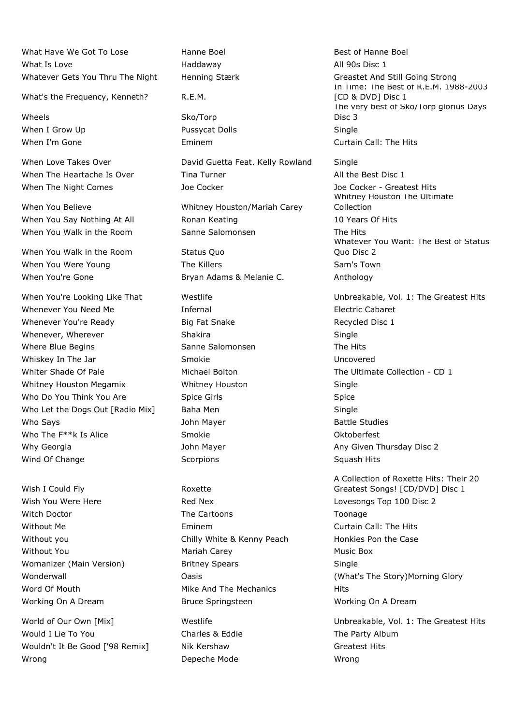What Have We Got To Lose **Hanne Boel** Boel Best of Hanne Boel What Is Love **All 90s Disc 1** and Haddaway **All 90s Disc 1** Whatever Gets You Thru The Night Henning Stærk Greastet And Still Going Strong

What's the Frequency, Kenneth? R.E.M.

Wheels Sko/Torp When I Grow Up **Pussycat Dolls Communist Single** 

When You Walk in the Room Status Ouo When You Were Young The Killers Sam's Town Sam's Town When You're Gone **Bryan Adams & Melanie C.** Anthology

Whenever You Need Me **Infernal** Therman Infernal Electric Cabaret Whenever You're Ready **Big Fat Snake** Big Fat Snake Recycled Disc 1 Whenever, Wherever **Shakira** Shakira Single Where Blue Begins Sanne Salomonsen The Hits Whiskey In The Jar **Smokie** Uncovered Uncovered Whiter Shade Of Pale **Michael Bolton** Michael Bolton The Ultimate Collection - CD 1 Whitney Houston Megamix Whitney Houston Single Who Do You Think You Are Spice Girls Spice Girls Spice Who Let the Dogs Out [Radio Mix] Baha Men Single Who Says **Same Studies John Mayer Battle Studies Battle Studies** Who The F<sup>\*\*</sup>k Is Alice Smokie Smokie **Smokie Changes** Oktoberfest Why Georgia **Mayer** John Mayer **Any Given Thursday Disc 2** and Mayer Any Given Thursday Disc 2 Wind Of Change The Scorpions Scorpions Scorpions Squash Hits

Wish I Could Fly Roxette

Would I Lie To You **Charles & Eddie** The Party Album Wouldn't It Be Good ['98 Remix] Nik Kershaw Greatest Hits Greatest Hits Wrong **Depeche Mode Depection** Depecte Mode **Wrong** 

When Love Takes Over **David Guetta Feat. Kelly Rowland** Single When The Heartache Is Over Tina Turner The Sest Disc 1 When The Night Comes The Supervisory of Cocker Joe Cocker Joe Cocker - Greatest Hits

When You Believe Whitney Houston/Mariah Carey When You Say Nothing At All **Ronan Keating 10 Years Of Hits** 10 Years Of Hits When You Walk in the Room Sanne Salomonsen Sanne The Hits

Wish You Were Here **Red Nex** Red Nex **Lovesongs Top 100 Disc 2** Witch Doctor **The Cartoons** The Cartoons Toonage Without Me Eminem Curtain Call: The Hits Without you **Chilly White & Kenny Peach** Honkies Pon the Case Without You **Mariah Carey Communist Carey** Music Box Womanizer (Main Version) Britney Spears Single Word Of Mouth **Mike And The Mechanics** Hits Working On A Dream **Bruce Springsteen** Morking On A Dream **Bruce Springsteen** 

In Time: The Best of R.E.M. 1988-2003 [CD & DVD] Disc 1 The very best of Sko/Torp glorius Days Disc 3 When I'm Gone **Eminem** Eminem Curtain Call: The Hits

> Whitney Houston The Ultimate Collection Whatever You Want: The Best of Status Quo Disc 2

When You're Looking Like That Westlife Vol. 1: The Greatest Hits

A Collection of Roxette Hits: Their 20 Greatest Songs! [CD/DVD] Disc 1 Wonderwall **Mathemoral Construction Construction** Oasis **Construction Construction Construction** (What's The Story)Morning Glory

World of Our Own [Mix] Westlife Westlife Unbreakable, Vol. 1: The Greatest Hits